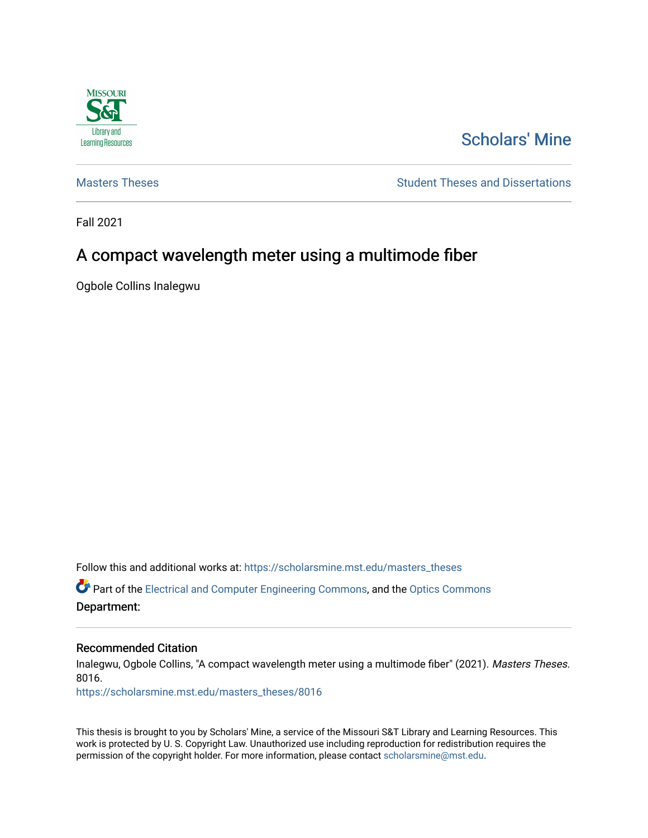

# [Scholars' Mine](https://scholarsmine.mst.edu/)

[Masters Theses](https://scholarsmine.mst.edu/masters_theses) **Student Theses and Dissertations** Student Theses and Dissertations

Fall 2021

# A compact wavelength meter using a multimode fiber

Ogbole Collins Inalegwu

Follow this and additional works at: [https://scholarsmine.mst.edu/masters\\_theses](https://scholarsmine.mst.edu/masters_theses?utm_source=scholarsmine.mst.edu%2Fmasters_theses%2F8016&utm_medium=PDF&utm_campaign=PDFCoverPages) 

Part of the [Electrical and Computer Engineering Commons](http://network.bepress.com/hgg/discipline/266?utm_source=scholarsmine.mst.edu%2Fmasters_theses%2F8016&utm_medium=PDF&utm_campaign=PDFCoverPages), and the [Optics Commons](http://network.bepress.com/hgg/discipline/204?utm_source=scholarsmine.mst.edu%2Fmasters_theses%2F8016&utm_medium=PDF&utm_campaign=PDFCoverPages) Department:

#### Recommended Citation

Inalegwu, Ogbole Collins, "A compact wavelength meter using a multimode fiber" (2021). Masters Theses. 8016.

[https://scholarsmine.mst.edu/masters\\_theses/8016](https://scholarsmine.mst.edu/masters_theses/8016?utm_source=scholarsmine.mst.edu%2Fmasters_theses%2F8016&utm_medium=PDF&utm_campaign=PDFCoverPages) 

This thesis is brought to you by Scholars' Mine, a service of the Missouri S&T Library and Learning Resources. This work is protected by U. S. Copyright Law. Unauthorized use including reproduction for redistribution requires the permission of the copyright holder. For more information, please contact [scholarsmine@mst.edu](mailto:scholarsmine@mst.edu).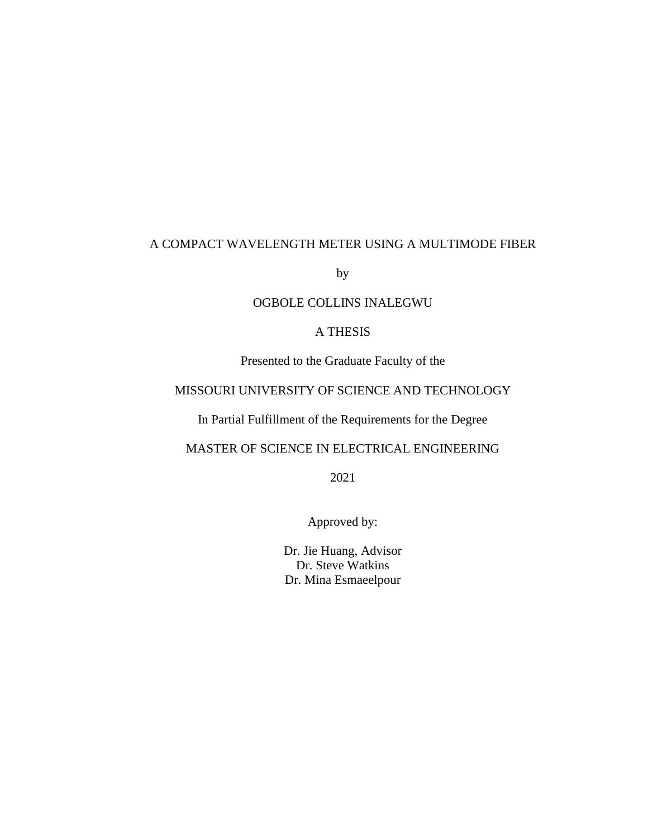## A COMPACT WAVELENGTH METER USING A MULTIMODE FIBER

by

#### OGBOLE COLLINS INALEGWU

## A THESIS

Presented to the Graduate Faculty of the

# MISSOURI UNIVERSITY OF SCIENCE AND TECHNOLOGY

In Partial Fulfillment of the Requirements for the Degree

# MASTER OF SCIENCE IN ELECTRICAL ENGINEERING

2021

Approved by:

Dr. Jie Huang, Advisor Dr. Steve Watkins Dr. Mina Esmaeelpour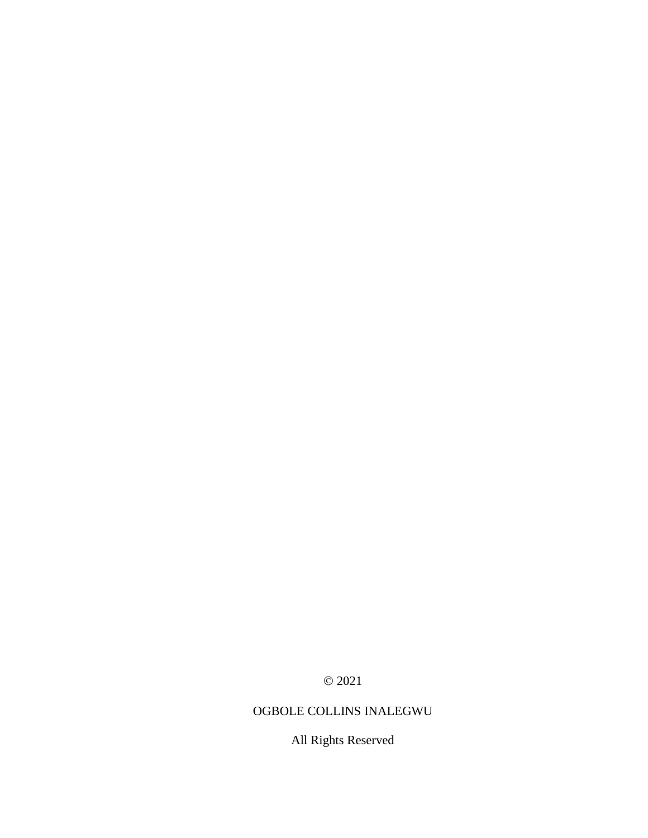© 2021

# OGBOLE COLLINS INALEGWU

All Rights Reserved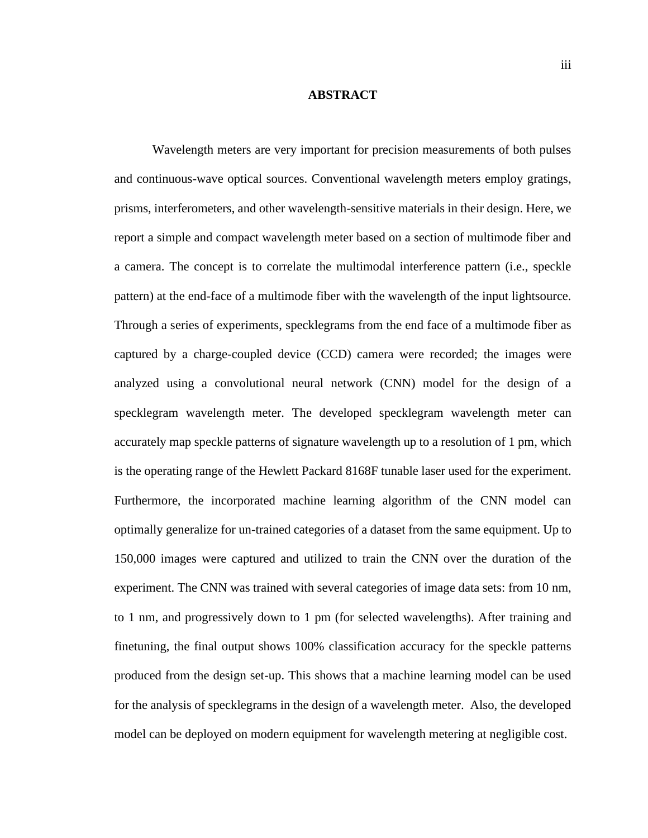#### **ABSTRACT**

Wavelength meters are very important for precision measurements of both pulses and continuous-wave optical sources. Conventional wavelength meters employ gratings, prisms, interferometers, and other wavelength-sensitive materials in their design. Here, we report a simple and compact wavelength meter based on a section of multimode fiber and a camera. The concept is to correlate the multimodal interference pattern (i.e., speckle pattern) at the end-face of a multimode fiber with the wavelength of the input lightsource. Through a series of experiments, specklegrams from the end face of a multimode fiber as captured by a charge-coupled device (CCD) camera were recorded; the images were analyzed using a convolutional neural network (CNN) model for the design of a specklegram wavelength meter. The developed specklegram wavelength meter can accurately map speckle patterns of signature wavelength up to a resolution of 1 pm, which is the operating range of the Hewlett Packard 8168F tunable laser used for the experiment. Furthermore, the incorporated machine learning algorithm of the CNN model can optimally generalize for un-trained categories of a dataset from the same equipment. Up to 150,000 images were captured and utilized to train the CNN over the duration of the experiment. The CNN was trained with several categories of image data sets: from 10 nm, to 1 nm, and progressively down to 1 pm (for selected wavelengths). After training and finetuning, the final output shows 100% classification accuracy for the speckle patterns produced from the design set-up. This shows that a machine learning model can be used for the analysis of specklegrams in the design of a wavelength meter. Also, the developed model can be deployed on modern equipment for wavelength metering at negligible cost.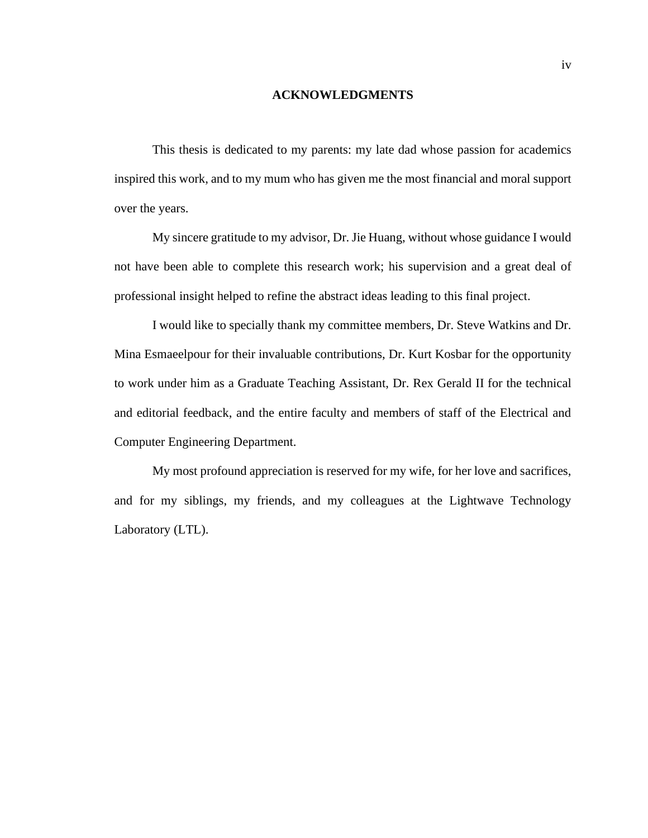#### **ACKNOWLEDGMENTS**

This thesis is dedicated to my parents: my late dad whose passion for academics inspired this work, and to my mum who has given me the most financial and moral support over the years.

My sincere gratitude to my advisor, Dr. Jie Huang, without whose guidance I would not have been able to complete this research work; his supervision and a great deal of professional insight helped to refine the abstract ideas leading to this final project.

I would like to specially thank my committee members, Dr. Steve Watkins and Dr. Mina Esmaeelpour for their invaluable contributions, Dr. Kurt Kosbar for the opportunity to work under him as a Graduate Teaching Assistant, Dr. Rex Gerald II for the technical and editorial feedback, and the entire faculty and members of staff of the Electrical and Computer Engineering Department.

My most profound appreciation is reserved for my wife, for her love and sacrifices, and for my siblings, my friends, and my colleagues at the Lightwave Technology Laboratory (LTL).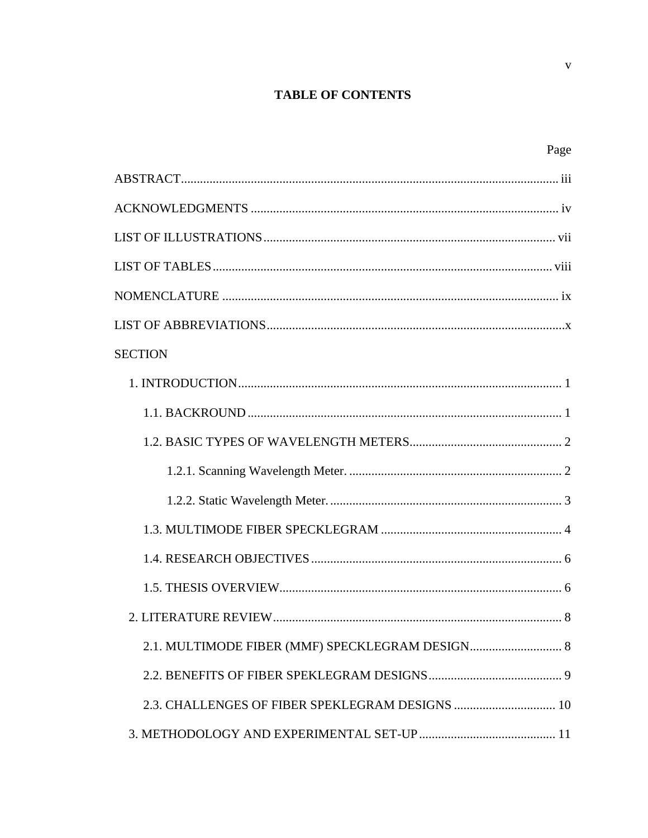# **TABLE OF CONTENTS**

| <b>SECTION</b>                                  |
|-------------------------------------------------|
|                                                 |
|                                                 |
|                                                 |
|                                                 |
|                                                 |
|                                                 |
|                                                 |
|                                                 |
|                                                 |
| 2.1. MULTIMODE FIBER (MMF) SPECKLEGRAM DESIGN 8 |
|                                                 |
| 2.3. CHALLENGES OF FIBER SPEKLEGRAM DESIGNS  10 |
|                                                 |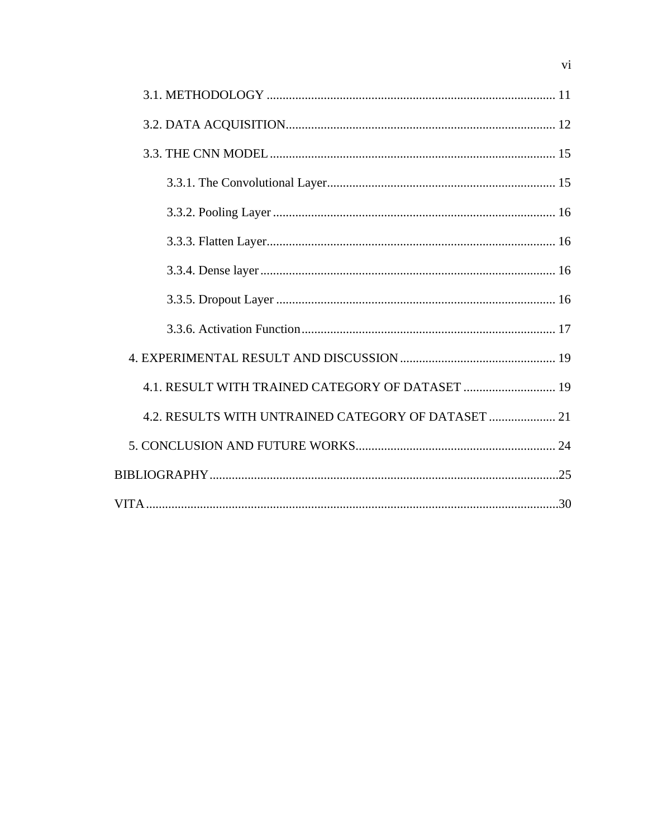| 4.1. RESULT WITH TRAINED CATEGORY OF DATASET  19    |
|-----------------------------------------------------|
| 4.2. RESULTS WITH UNTRAINED CATEGORY OF DATASET  21 |
|                                                     |
|                                                     |
|                                                     |

 $\overline{\mathbf{vi}}$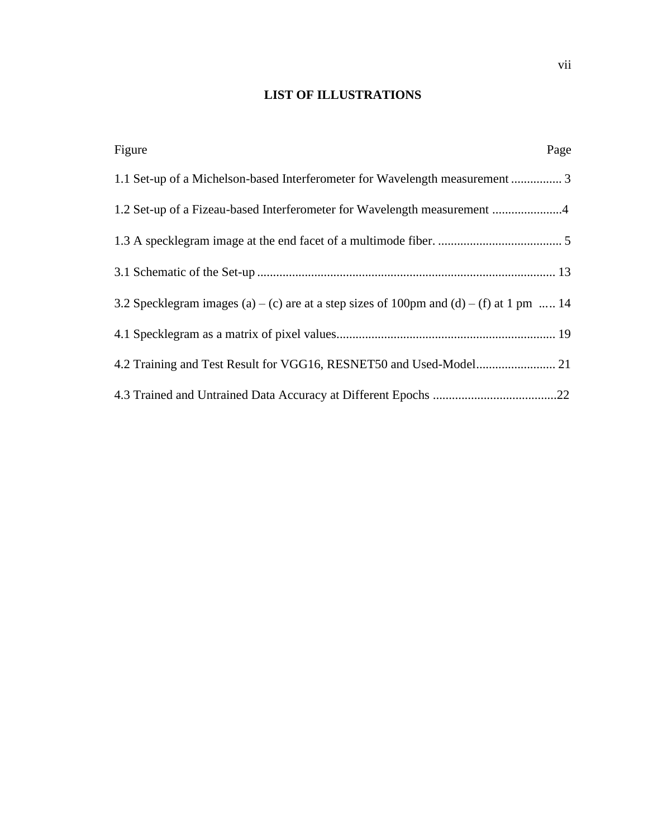# **LIST OF ILLUSTRATIONS**

| Figure<br>Page                                                                          |  |
|-----------------------------------------------------------------------------------------|--|
| 1.1 Set-up of a Michelson-based Interferometer for Wavelength measurement  3            |  |
|                                                                                         |  |
|                                                                                         |  |
|                                                                                         |  |
| 3.2 Specklegram images (a) – (c) are at a step sizes of 100pm and (d) – (f) at 1 pm  14 |  |
|                                                                                         |  |
|                                                                                         |  |
|                                                                                         |  |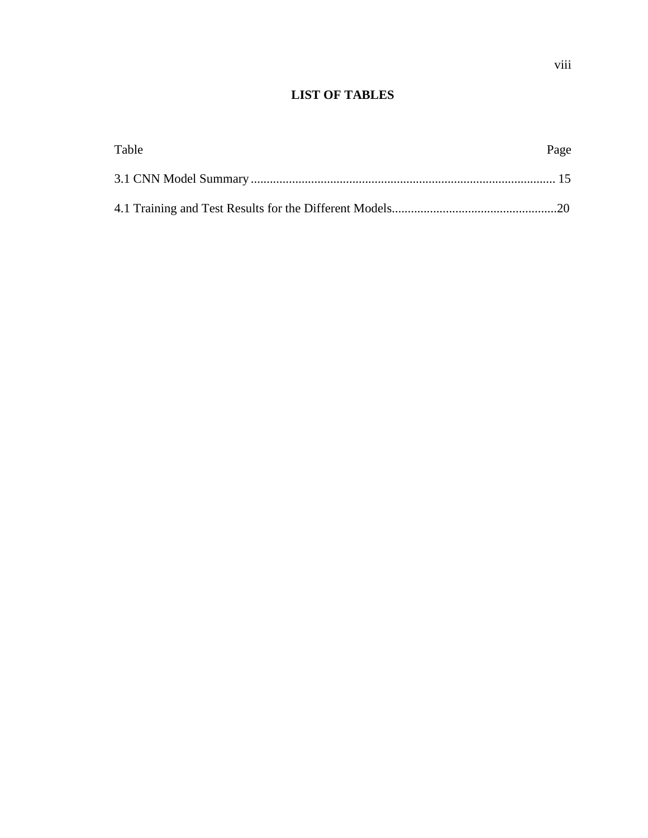# **LIST OF TABLES**

| Table | Page |
|-------|------|
|       |      |
|       |      |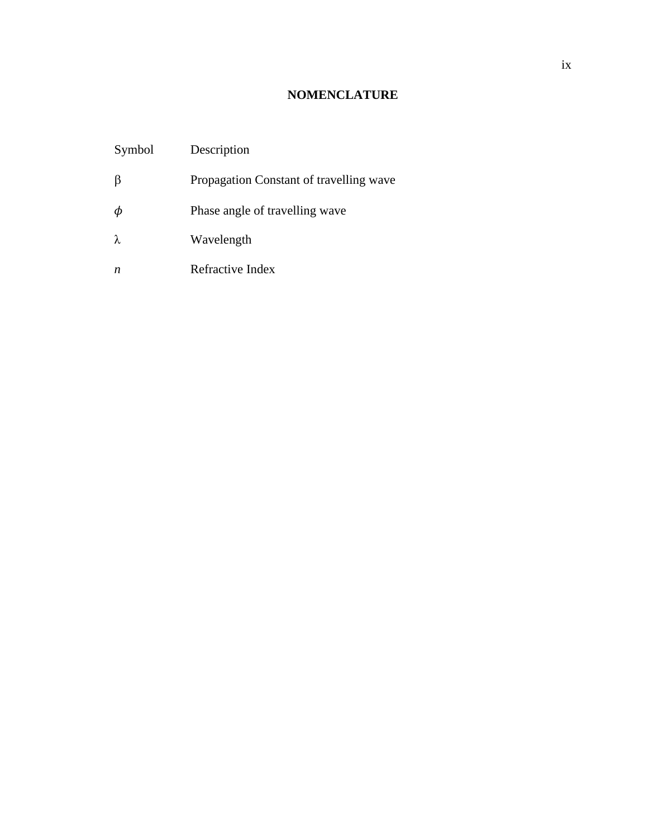# **NOMENCLATURE**

| Symbol  | Description                             |
|---------|-----------------------------------------|
| $\beta$ | Propagation Constant of travelling wave |
|         | Phase angle of travelling wave          |
| λ       | Wavelength                              |
| n       | Refractive Index                        |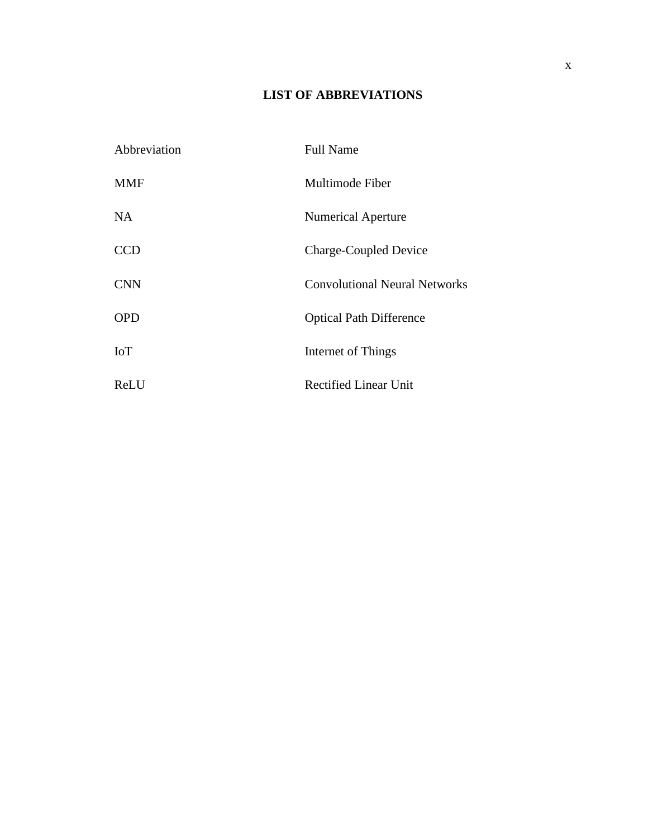# **LIST OF ABBREVIATIONS**

| Abbreviation | <b>Full Name</b>                     |
|--------------|--------------------------------------|
| <b>MMF</b>   | Multimode Fiber                      |
| NA.          | <b>Numerical Aperture</b>            |
| CCD          | <b>Charge-Coupled Device</b>         |
| <b>CNN</b>   | <b>Convolutional Neural Networks</b> |
| <b>OPD</b>   | <b>Optical Path Difference</b>       |
| <b>IoT</b>   | Internet of Things                   |
| ReLU         | <b>Rectified Linear Unit</b>         |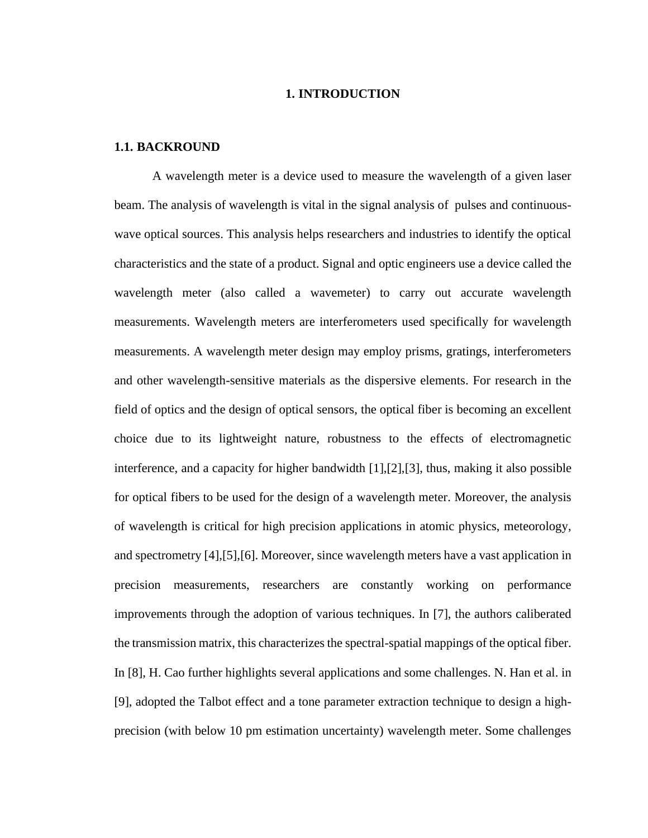### **1. INTRODUCTION**

#### **1.1. BACKROUND**

A wavelength meter is a device used to measure the wavelength of a given laser beam. The analysis of wavelength is vital in the signal analysis of pulses and continuouswave optical sources. This analysis helps researchers and industries to identify the optical characteristics and the state of a product. Signal and optic engineers use a device called the wavelength meter (also called a wavemeter) to carry out accurate wavelength measurements. Wavelength meters are interferometers used specifically for wavelength measurements. A wavelength meter design may employ prisms, gratings, interferometers and other wavelength-sensitive materials as the dispersive elements. For research in the field of optics and the design of optical sensors, the optical fiber is becoming an excellent choice due to its lightweight nature, robustness to the effects of electromagnetic interference, and a capacity for higher bandwidth [1],[2],[3], thus, making it also possible for optical fibers to be used for the design of a wavelength meter. Moreover, the analysis of wavelength is critical for high precision applications in atomic physics, meteorology, and spectrometry [4],[5],[6]. Moreover, since wavelength meters have a vast application in precision measurements, researchers are constantly working on performance improvements through the adoption of various techniques. In [7], the authors caliberated the transmission matrix, this characterizes the spectral-spatial mappings of the optical fiber. In [8], H. Cao further highlights several applications and some challenges. N. Han et al. in [9], adopted the Talbot effect and a tone parameter extraction technique to design a highprecision (with below 10 pm estimation uncertainty) wavelength meter. Some challenges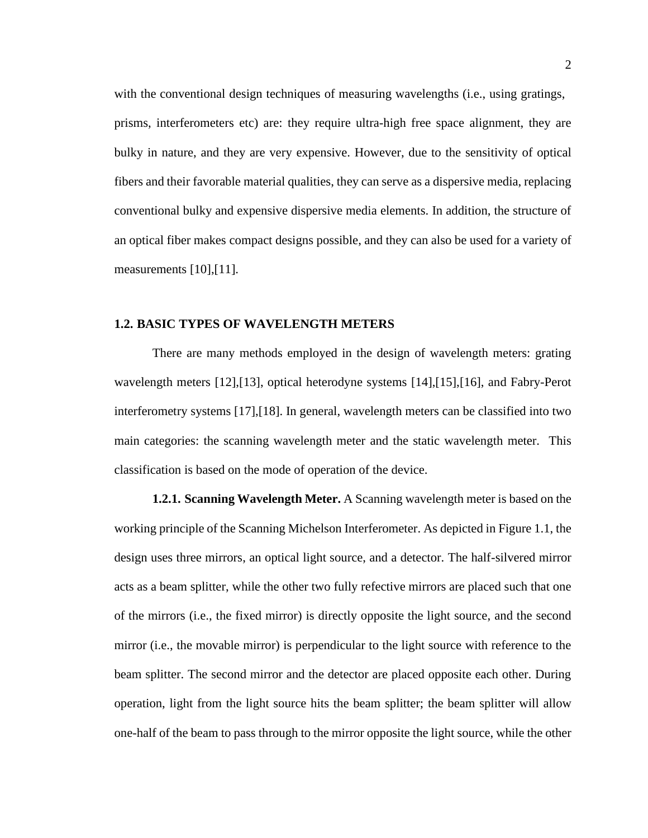with the conventional design techniques of measuring wavelengths (i.e., using gratings, prisms, interferometers etc) are: they require ultra-high free space alignment, they are bulky in nature, and they are very expensive. However, due to the sensitivity of optical fibers and their favorable material qualities, they can serve as a dispersive media, replacing conventional bulky and expensive dispersive media elements. In addition, the structure of an optical fiber makes compact designs possible, and they can also be used for a variety of measurements [10],[11].

#### **1.2. BASIC TYPES OF WAVELENGTH METERS**

There are many methods employed in the design of wavelength meters: grating wavelength meters [12],[13], optical heterodyne systems [14],[15],[16], and Fabry-Perot interferometry systems [17],[18]. In general, wavelength meters can be classified into two main categories: the scanning wavelength meter and the static wavelength meter. This classification is based on the mode of operation of the device.

**1.2.1. Scanning Wavelength Meter.** A Scanning wavelength meter is based on the working principle of the Scanning Michelson Interferometer. As depicted in Figure 1.1, the design uses three mirrors, an optical light source, and a detector. The half-silvered mirror acts as a beam splitter, while the other two fully refective mirrors are placed such that one of the mirrors (i.e., the fixed mirror) is directly opposite the light source, and the second mirror (i.e., the movable mirror) is perpendicular to the light source with reference to the beam splitter. The second mirror and the detector are placed opposite each other. During operation, light from the light source hits the beam splitter; the beam splitter will allow one-half of the beam to pass through to the mirror opposite the light source, while the other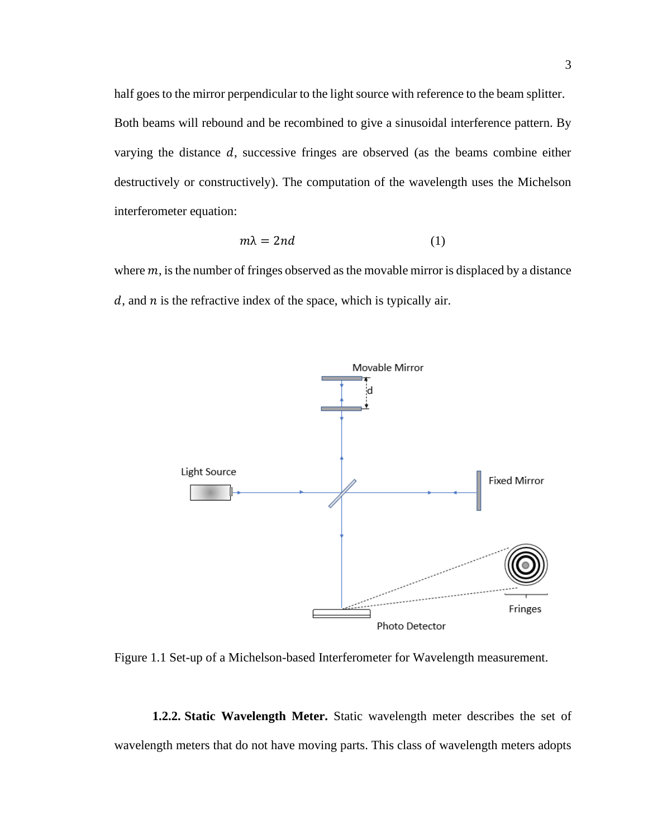half goes to the mirror perpendicular to the light source with reference to the beam splitter. Both beams will rebound and be recombined to give a sinusoidal interference pattern. By varying the distance  $d$ , successive fringes are observed (as the beams combine either destructively or constructively). The computation of the wavelength uses the Michelson interferometer equation:

$$
m\lambda = 2nd \tag{1}
$$

where  $m$ , is the number of fringes observed as the movable mirror is displaced by a distance  $d$ , and  $n$  is the refractive index of the space, which is typically air.



Figure 1.1 Set-up of a Michelson-based Interferometer for Wavelength measurement.

**1.2.2. Static Wavelength Meter.** Static wavelength meter describes the set of wavelength meters that do not have moving parts. This class of wavelength meters adopts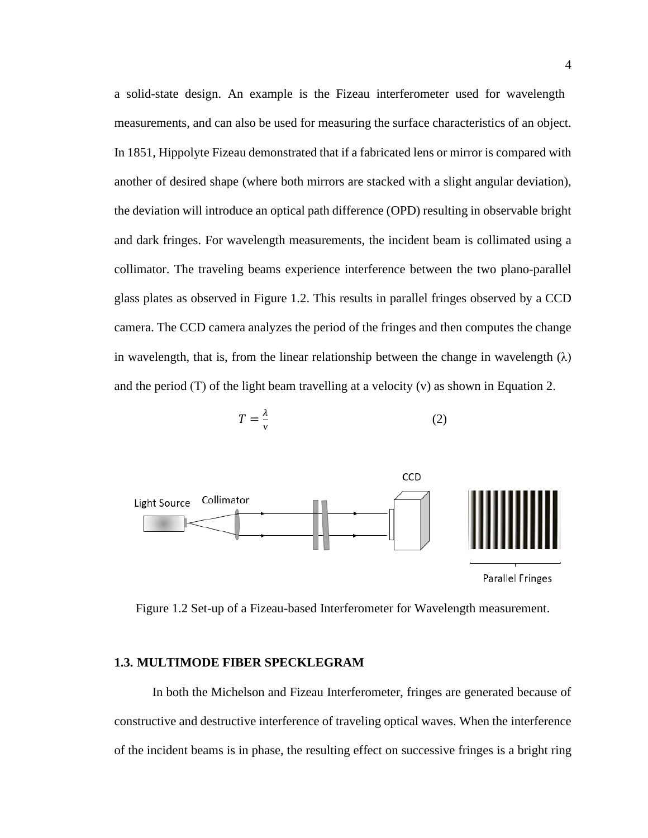a solid-state design. An example is the Fizeau interferometer used for wavelength measurements, and can also be used for measuring the surface characteristics of an object. In 1851, Hippolyte Fizeau demonstrated that if a fabricated lens or mirror is compared with another of desired shape (where both mirrors are stacked with a slight angular deviation), the deviation will introduce an optical path difference (OPD) resulting in observable bright and dark fringes. For wavelength measurements, the incident beam is collimated using a collimator. The traveling beams experience interference between the two plano-parallel glass plates as observed in Figure 1.2. This results in parallel fringes observed by a CCD camera. The CCD camera analyzes the period of the fringes and then computes the change in wavelength, that is, from the linear relationship between the change in wavelength  $(\lambda)$ and the period (Τ) of the light beam travelling at a velocity (v) as shown in Equation 2.

$$
T = \frac{\lambda}{\mathrm{v}}\tag{2}
$$



Figure 1.2 Set-up of a Fizeau-based Interferometer for Wavelength measurement.

#### **1.3. MULTIMODE FIBER SPECKLEGRAM**

In both the Michelson and Fizeau Interferometer, fringes are generated because of constructive and destructive interference of traveling optical waves. When the interference of the incident beams is in phase, the resulting effect on successive fringes is a bright ring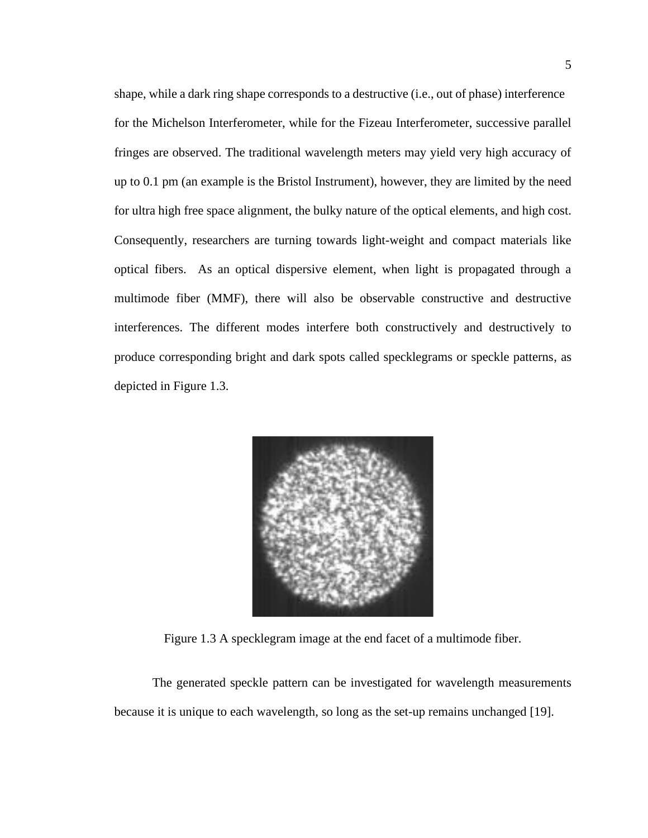shape, while a dark ring shape corresponds to a destructive (i.e., out of phase) interference for the Michelson Interferometer, while for the Fizeau Interferometer, successive parallel fringes are observed. The traditional wavelength meters may yield very high accuracy of up to 0.1 pm (an example is the Bristol Instrument), however, they are limited by the need for ultra high free space alignment, the bulky nature of the optical elements, and high cost. Consequently, researchers are turning towards light-weight and compact materials like optical fibers. As an optical dispersive element, when light is propagated through a multimode fiber (MMF), there will also be observable constructive and destructive interferences. The different modes interfere both constructively and destructively to produce corresponding bright and dark spots called specklegrams or speckle patterns, as depicted in Figure 1.3.



Figure 1.3 A specklegram image at the end facet of a multimode fiber.

The generated speckle pattern can be investigated for wavelength measurements because it is unique to each wavelength, so long as the set-up remains unchanged [19].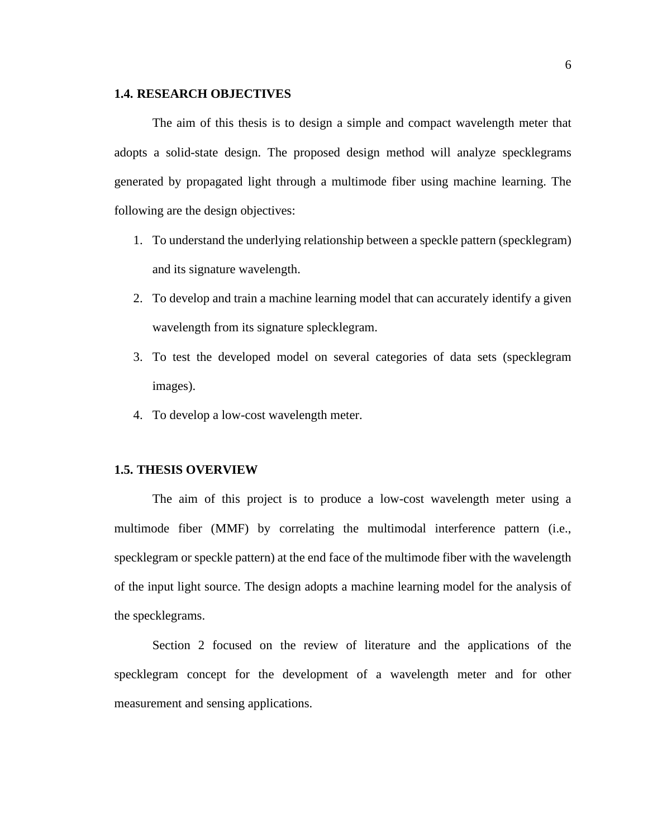#### **1.4. RESEARCH OBJECTIVES**

The aim of this thesis is to design a simple and compact wavelength meter that adopts a solid-state design. The proposed design method will analyze specklegrams generated by propagated light through a multimode fiber using machine learning. The following are the design objectives:

- 1. To understand the underlying relationship between a speckle pattern (specklegram) and its signature wavelength.
- 2. To develop and train a machine learning model that can accurately identify a given wavelength from its signature splecklegram.
- 3. To test the developed model on several categories of data sets (specklegram images).
- 4. To develop a low-cost wavelength meter.

#### **1.5. THESIS OVERVIEW**

The aim of this project is to produce a low-cost wavelength meter using a multimode fiber (MMF) by correlating the multimodal interference pattern (i.e., specklegram or speckle pattern) at the end face of the multimode fiber with the wavelength of the input light source. The design adopts a machine learning model for the analysis of the specklegrams.

Section 2 focused on the review of literature and the applications of the specklegram concept for the development of a wavelength meter and for other measurement and sensing applications.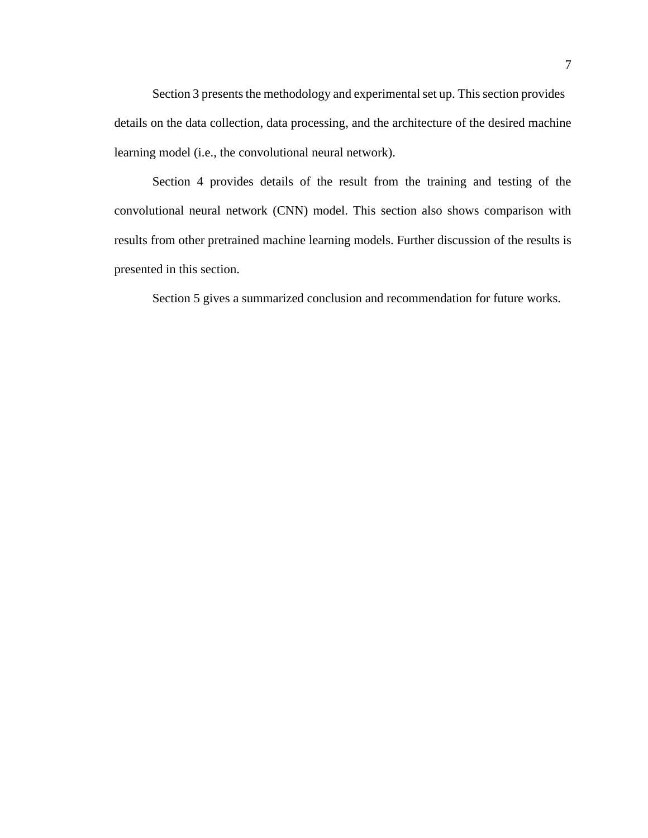Section 3 presents the methodology and experimental set up. This section provides details on the data collection, data processing, and the architecture of the desired machine learning model (i.e., the convolutional neural network).

Section 4 provides details of the result from the training and testing of the convolutional neural network (CNN) model. This section also shows comparison with results from other pretrained machine learning models. Further discussion of the results is presented in this section.

Section 5 gives a summarized conclusion and recommendation for future works.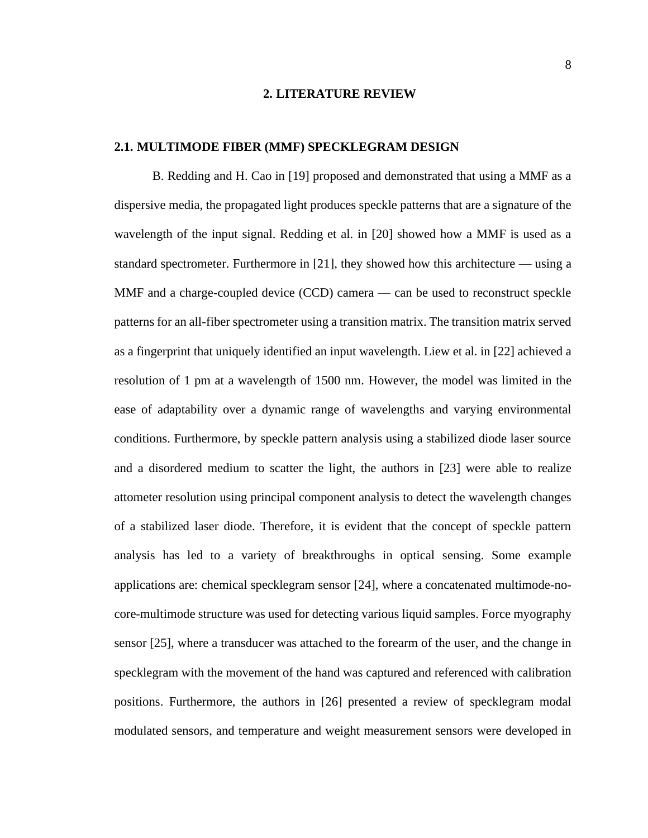#### **2. LITERATURE REVIEW**

#### **2.1. MULTIMODE FIBER (MMF) SPECKLEGRAM DESIGN**

B. Redding and H. Cao in [19] proposed and demonstrated that using a MMF as a dispersive media, the propagated light produces speckle patterns that are a signature of the wavelength of the input signal. Redding et al. in [20] showed how a MMF is used as a standard spectrometer. Furthermore in [21], they showed how this architecture — using a MMF and a charge-coupled device (CCD) camera — can be used to reconstruct speckle patterns for an all-fiber spectrometer using a transition matrix. The transition matrix served as a fingerprint that uniquely identified an input wavelength. Liew et al. in [22] achieved a resolution of 1 pm at a wavelength of 1500 nm. However, the model was limited in the ease of adaptability over a dynamic range of wavelengths and varying environmental conditions. Furthermore, by speckle pattern analysis using a stabilized diode laser source and a disordered medium to scatter the light, the authors in [23] were able to realize attometer resolution using principal component analysis to detect the wavelength changes of a stabilized laser diode. Therefore, it is evident that the concept of speckle pattern analysis has led to a variety of breakthroughs in optical sensing. Some example applications are: chemical specklegram sensor [24], where a concatenated multimode-nocore-multimode structure was used for detecting various liquid samples. Force myography sensor [25], where a transducer was attached to the forearm of the user, and the change in specklegram with the movement of the hand was captured and referenced with calibration positions. Furthermore, the authors in [26] presented a review of specklegram modal modulated sensors, and temperature and weight measurement sensors were developed in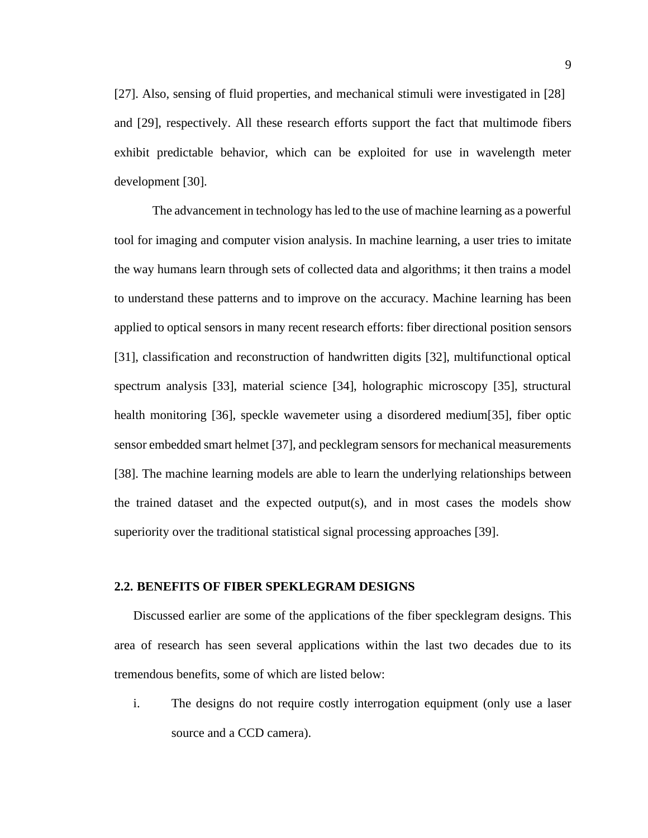[27]. Also, sensing of fluid properties, and mechanical stimuli were investigated in [28] and [29], respectively. All these research efforts support the fact that multimode fibers exhibit predictable behavior, which can be exploited for use in wavelength meter development [30].

The advancement in technology has led to the use of machine learning as a powerful tool for imaging and computer vision analysis. In machine learning, a user tries to imitate the way humans learn through sets of collected data and algorithms; it then trains a model to understand these patterns and to improve on the accuracy. Machine learning has been applied to optical sensors in many recent research efforts: fiber directional position sensors [31], classification and reconstruction of handwritten digits [32], multifunctional optical spectrum analysis [33], material science [34], holographic microscopy [35], structural health monitoring [36], speckle wavemeter using a disordered medium[35], fiber optic sensor embedded smart helmet [37], and pecklegram sensors for mechanical measurements [38]. The machine learning models are able to learn the underlying relationships between the trained dataset and the expected output(s), and in most cases the models show superiority over the traditional statistical signal processing approaches [39].

#### **2.2. BENEFITS OF FIBER SPEKLEGRAM DESIGNS**

Discussed earlier are some of the applications of the fiber specklegram designs. This area of research has seen several applications within the last two decades due to its tremendous benefits, some of which are listed below:

i. The designs do not require costly interrogation equipment (only use a laser source and a CCD camera).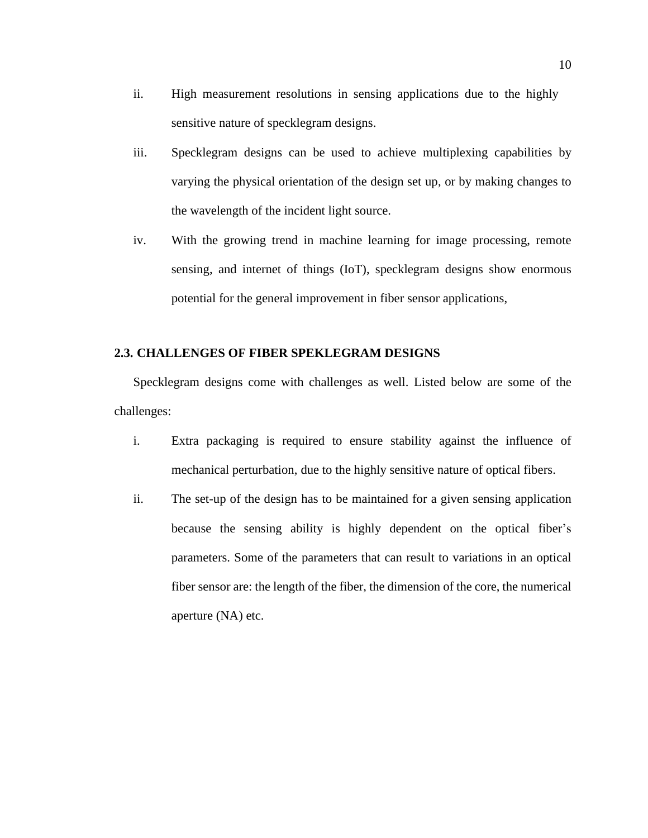- ii. High measurement resolutions in sensing applications due to the highly sensitive nature of specklegram designs.
- iii. Specklegram designs can be used to achieve multiplexing capabilities by varying the physical orientation of the design set up, or by making changes to the wavelength of the incident light source.
- iv. With the growing trend in machine learning for image processing, remote sensing, and internet of things (IoT), specklegram designs show enormous potential for the general improvement in fiber sensor applications,

#### **2.3. CHALLENGES OF FIBER SPEKLEGRAM DESIGNS**

Specklegram designs come with challenges as well. Listed below are some of the challenges:

- i. Extra packaging is required to ensure stability against the influence of mechanical perturbation, due to the highly sensitive nature of optical fibers.
- ii. The set-up of the design has to be maintained for a given sensing application because the sensing ability is highly dependent on the optical fiber's parameters. Some of the parameters that can result to variations in an optical fiber sensor are: the length of the fiber, the dimension of the core, the numerical aperture (NA) etc.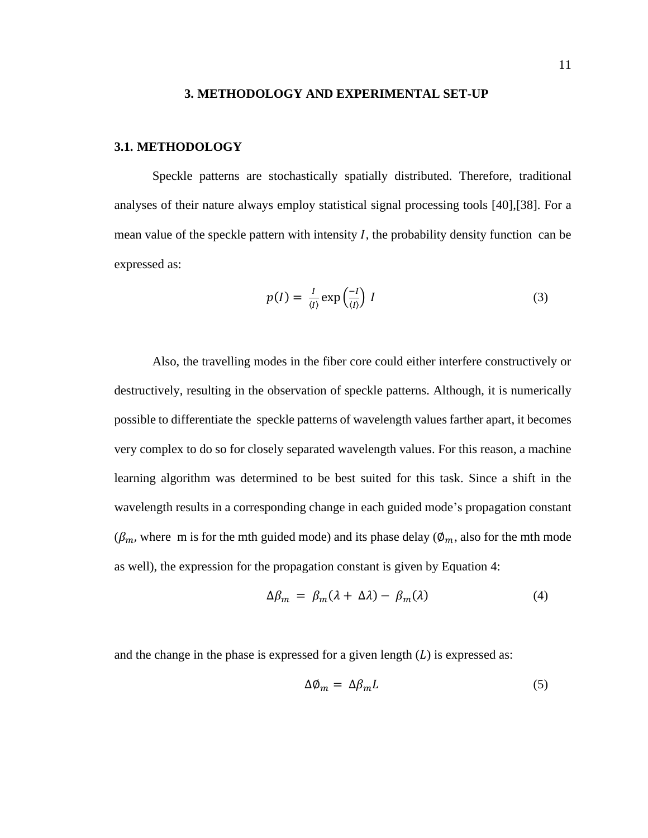#### **3. METHODOLOGY AND EXPERIMENTAL SET-UP**

#### **3.1. METHODOLOGY**

Speckle patterns are stochastically spatially distributed. Therefore, traditional analyses of their nature always employ statistical signal processing tools [40],[38]. For a mean value of the speckle pattern with intensity  $I$ , the probability density function can be expressed as:

$$
p(I) = \frac{I}{\langle I \rangle} \exp\left(\frac{-I}{\langle I \rangle}\right) I \tag{3}
$$

Also, the travelling modes in the fiber core could either interfere constructively or destructively, resulting in the observation of speckle patterns. Although, it is numerically possible to differentiate the speckle patterns of wavelength values farther apart, it becomes very complex to do so for closely separated wavelength values. For this reason, a machine learning algorithm was determined to be best suited for this task. Since a shift in the wavelength results in a corresponding change in each guided mode's propagation constant  $(\beta_m)$ , where m is for the mth guided mode) and its phase delay  $(\phi_m)$ , also for the mth mode as well), the expression for the propagation constant is given by Equation 4:

$$
\Delta \beta_m = \beta_m (\lambda + \Delta \lambda) - \beta_m (\lambda) \tag{4}
$$

and the change in the phase is expressed for a given length  $(L)$  is expressed as:

$$
\Delta \phi_m = \Delta \beta_m L \tag{5}
$$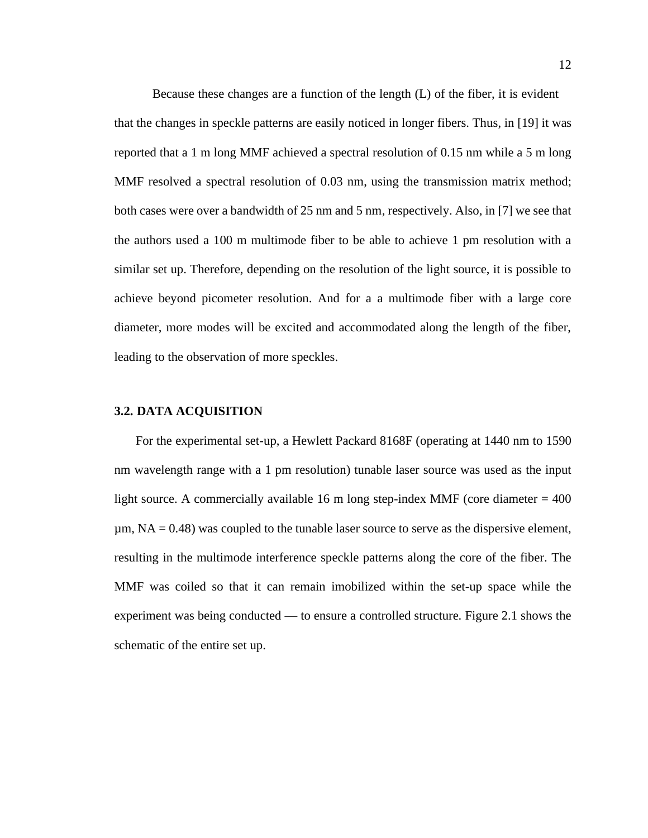Because these changes are a function of the length (L) of the fiber, it is evident that the changes in speckle patterns are easily noticed in longer fibers. Thus, in [19] it was reported that a 1 m long MMF achieved a spectral resolution of 0.15 nm while a 5 m long MMF resolved a spectral resolution of 0.03 nm, using the transmission matrix method; both cases were over a bandwidth of 25 nm and 5 nm, respectively. Also, in [7] we see that the authors used a 100 m multimode fiber to be able to achieve 1 pm resolution with a similar set up. Therefore, depending on the resolution of the light source, it is possible to achieve beyond picometer resolution. And for a a multimode fiber with a large core diameter, more modes will be excited and accommodated along the length of the fiber, leading to the observation of more speckles.

#### **3.2. DATA ACQUISITION**

For the experimental set-up, a Hewlett Packard 8168F (operating at 1440 nm to 1590 nm wavelength range with a 1 pm resolution) tunable laser source was used as the input light source. A commercially available 16 m long step-index MMF (core diameter  $= 400$ )  $\mu$ m, NA = 0.48) was coupled to the tunable laser source to serve as the dispersive element, resulting in the multimode interference speckle patterns along the core of the fiber. The MMF was coiled so that it can remain imobilized within the set-up space while the experiment was being conducted — to ensure a controlled structure. Figure 2.1 shows the schematic of the entire set up.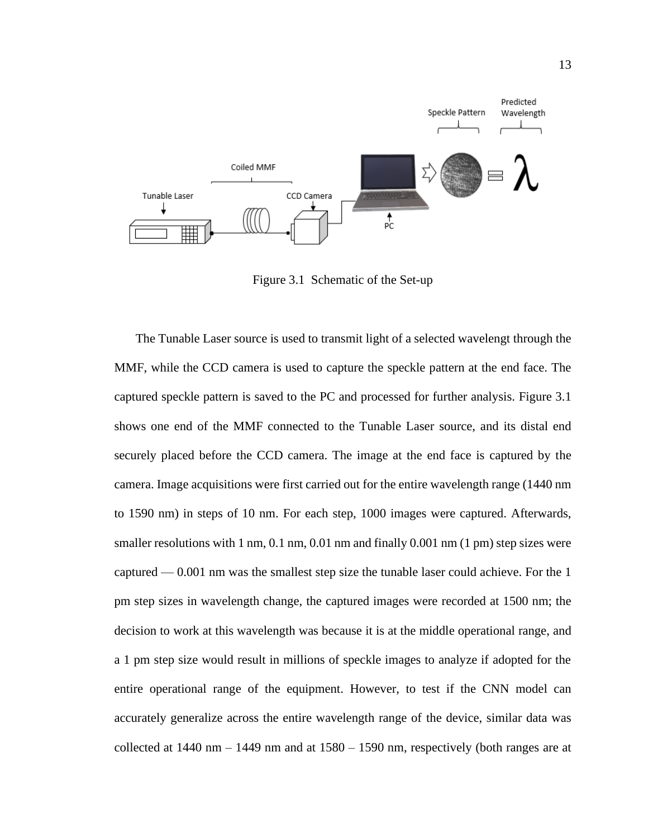

Figure 3.1 Schematic of the Set-up

The Tunable Laser source is used to transmit light of a selected wavelengt through the MMF, while the CCD camera is used to capture the speckle pattern at the end face. The captured speckle pattern is saved to the PC and processed for further analysis. Figure 3.1 shows one end of the MMF connected to the Tunable Laser source, and its distal end securely placed before the CCD camera. The image at the end face is captured by the camera. Image acquisitions were first carried out for the entire wavelength range (1440 nm to 1590 nm) in steps of 10 nm. For each step, 1000 images were captured. Afterwards, smaller resolutions with 1 nm, 0.1 nm, 0.01 nm and finally 0.001 nm (1 pm) step sizes were captured — 0.001 nm was the smallest step size the tunable laser could achieve. For the 1 pm step sizes in wavelength change, the captured images were recorded at 1500 nm; the decision to work at this wavelength was because it is at the middle operational range, and a 1 pm step size would result in millions of speckle images to analyze if adopted for the entire operational range of the equipment. However, to test if the CNN model can accurately generalize across the entire wavelength range of the device, similar data was collected at  $1440 \text{ nm} - 1449 \text{ nm}$  and at  $1580 - 1590 \text{ nm}$ , respectively (both ranges are at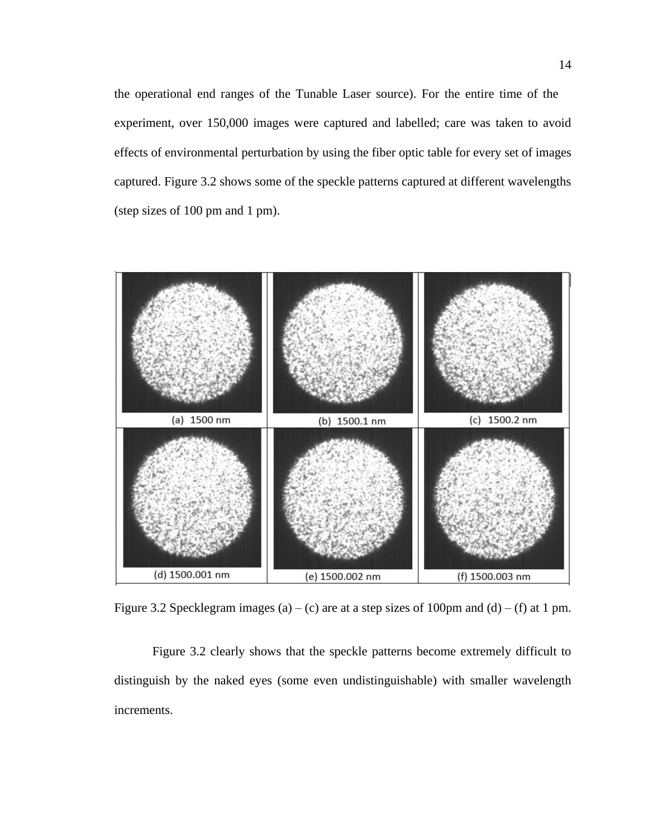the operational end ranges of the Tunable Laser source). For the entire time of the experiment, over 150,000 images were captured and labelled; care was taken to avoid effects of environmental perturbation by using the fiber optic table for every set of images captured. Figure 3.2 shows some of the speckle patterns captured at different wavelengths (step sizes of 100 pm and 1 pm).



Figure 3.2 Specklegram images (a) – (c) are at a step sizes of 100pm and (d) – (f) at 1 pm.

Figure 3.2 clearly shows that the speckle patterns become extremely difficult to distinguish by the naked eyes (some even undistinguishable) with smaller wavelength increments.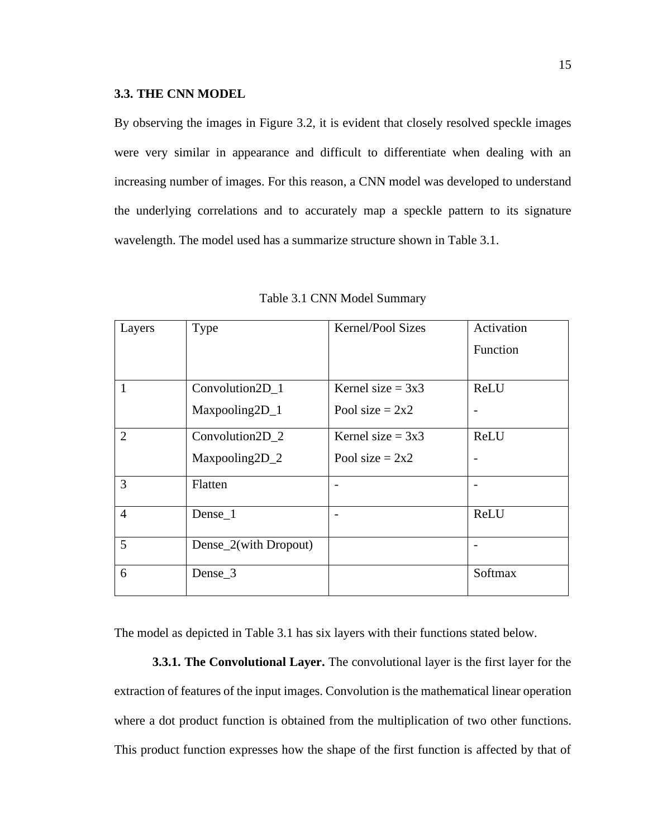#### **3.3. THE CNN MODEL**

By observing the images in Figure 3.2, it is evident that closely resolved speckle images were very similar in appearance and difficult to differentiate when dealing with an increasing number of images. For this reason, a CNN model was developed to understand the underlying correlations and to accurately map a speckle pattern to its signature wavelength. The model used has a summarize structure shown in Table 3.1.

| Layers         | Type                  | Kernel/Pool Sizes        | Activation |
|----------------|-----------------------|--------------------------|------------|
|                |                       |                          | Function   |
|                |                       |                          |            |
| 1              | Convolution2D_1       | Kernel size = $3x3$      | ReLU       |
|                | Maxpooling2D_1        | Pool size = $2x2$        |            |
| $\overline{2}$ | Convolution2D_2       | Kernel size = $3x3$      | ReLU       |
|                | Maxpooling2D_2        | Pool size = $2x2$        |            |
| 3              | Flatten               |                          |            |
| $\overline{4}$ | $Dense_1$             | $\overline{\phantom{0}}$ | ReLU       |
| 5              | Dense_2(with Dropout) |                          |            |
| 6              | Dense_3               |                          | Softmax    |

Table 3.1 CNN Model Summary

The model as depicted in Table 3.1 has six layers with their functions stated below.

**3.3.1. The Convolutional Layer.** The convolutional layer is the first layer for the extraction of features of the input images. Convolution is the mathematical linear operation where a dot product function is obtained from the multiplication of two other functions. This product function expresses how the shape of the first function is affected by that of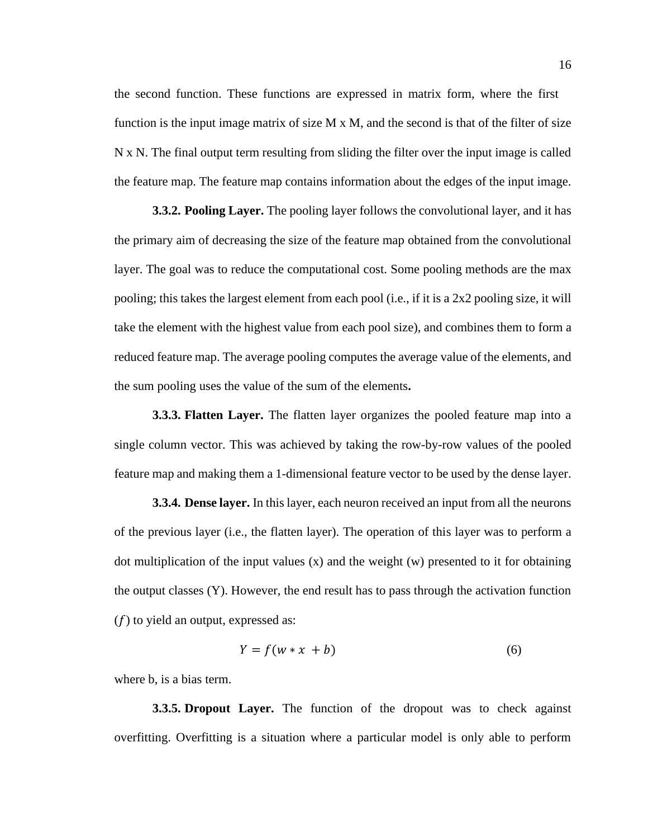the second function. These functions are expressed in matrix form, where the first function is the input image matrix of size  $M \times M$ , and the second is that of the filter of size N x N. The final output term resulting from sliding the filter over the input image is called the feature map. The feature map contains information about the edges of the input image.

**3.3.2. Pooling Layer.** The pooling layer follows the convolutional layer, and it has the primary aim of decreasing the size of the feature map obtained from the convolutional layer. The goal was to reduce the computational cost. Some pooling methods are the max pooling; this takes the largest element from each pool (i.e., if it is a 2x2 pooling size, it will take the element with the highest value from each pool size), and combines them to form a reduced feature map. The average pooling computes the average value of the elements, and the sum pooling uses the value of the sum of the elements**.**

**3.3.3. Flatten Layer.** The flatten layer organizes the pooled feature map into a single column vector. This was achieved by taking the row-by-row values of the pooled feature map and making them a 1-dimensional feature vector to be used by the dense layer.

**3.3.4. Dense layer.** In this layer, each neuron received an input from all the neurons of the previous layer (i.e., the flatten layer). The operation of this layer was to perform a dot multiplication of the input values (x) and the weight (w) presented to it for obtaining the output classes (Y). However, the end result has to pass through the activation function  $(f)$  to yield an output, expressed as:

$$
Y = f(w * x + b) \tag{6}
$$

where b, is a bias term.

**3.3.5. Dropout Layer.** The function of the dropout was to check against overfitting. Overfitting is a situation where a particular model is only able to perform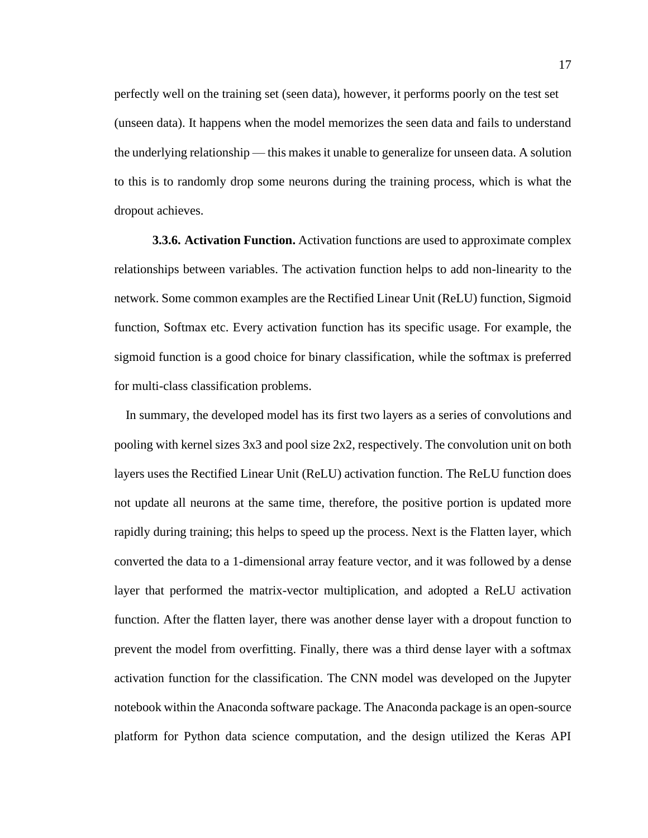perfectly well on the training set (seen data), however, it performs poorly on the test set (unseen data). It happens when the model memorizes the seen data and fails to understand the underlying relationship — this makes it unable to generalize for unseen data. A solution to this is to randomly drop some neurons during the training process, which is what the dropout achieves.

**3.3.6. Activation Function.** Activation functions are used to approximate complex relationships between variables. The activation function helps to add non-linearity to the network. Some common examples are the Rectified Linear Unit (ReLU) function, Sigmoid function, Softmax etc. Every activation function has its specific usage. For example, the sigmoid function is a good choice for binary classification, while the softmax is preferred for multi-class classification problems.

In summary, the developed model has its first two layers as a series of convolutions and pooling with kernel sizes 3x3 and pool size 2x2, respectively. The convolution unit on both layers uses the Rectified Linear Unit (ReLU) activation function. The ReLU function does not update all neurons at the same time, therefore, the positive portion is updated more rapidly during training; this helps to speed up the process. Next is the Flatten layer, which converted the data to a 1-dimensional array feature vector, and it was followed by a dense layer that performed the matrix-vector multiplication, and adopted a ReLU activation function. After the flatten layer, there was another dense layer with a dropout function to prevent the model from overfitting. Finally, there was a third dense layer with a softmax activation function for the classification. The CNN model was developed on the Jupyter notebook within the Anaconda software package. The Anaconda package is an open-source platform for Python data science computation, and the design utilized the Keras API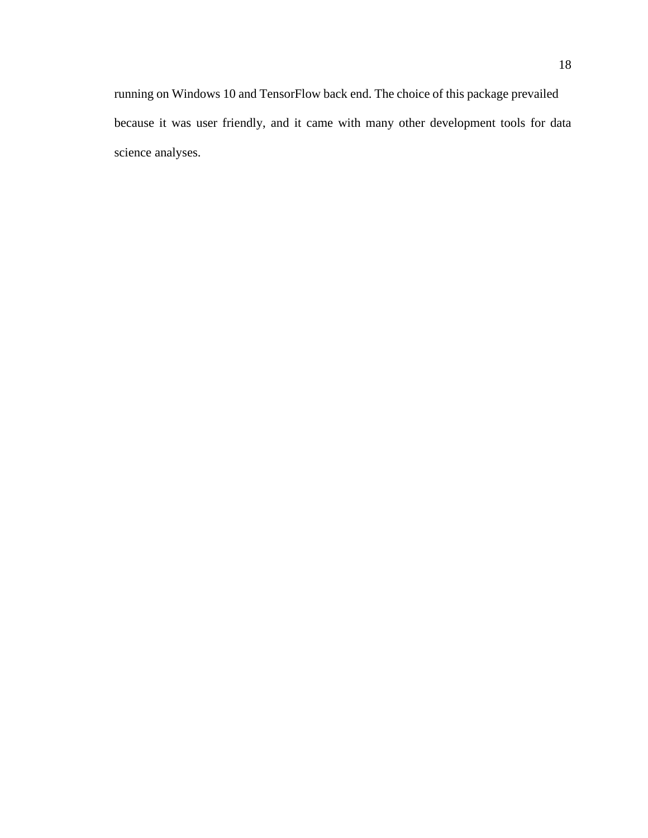running on Windows 10 and TensorFlow back end. The choice of this package prevailed because it was user friendly, and it came with many other development tools for data science analyses.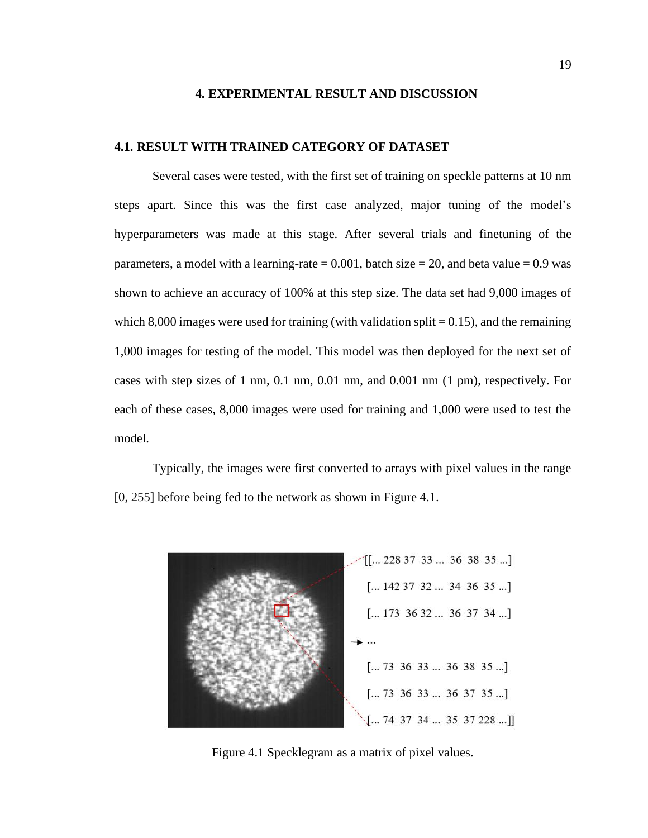#### **4. EXPERIMENTAL RESULT AND DISCUSSION**

### **4.1. RESULT WITH TRAINED CATEGORY OF DATASET**

Several cases were tested, with the first set of training on speckle patterns at 10 nm steps apart. Since this was the first case analyzed, major tuning of the model's hyperparameters was made at this stage. After several trials and finetuning of the parameters, a model with a learning-rate  $= 0.001$ , batch size  $= 20$ , and beta value  $= 0.9$  was shown to achieve an accuracy of 100% at this step size. The data set had 9,000 images of which 8,000 images were used for training (with validation split  $= 0.15$ ), and the remaining 1,000 images for testing of the model. This model was then deployed for the next set of cases with step sizes of 1 nm, 0.1 nm, 0.01 nm, and 0.001 nm (1 pm), respectively. For each of these cases, 8,000 images were used for training and 1,000 were used to test the model.

Typically, the images were first converted to arrays with pixel values in the range [0, 255] before being fed to the network as shown in Figure 4.1.



Figure 4.1 Specklegram as a matrix of pixel values.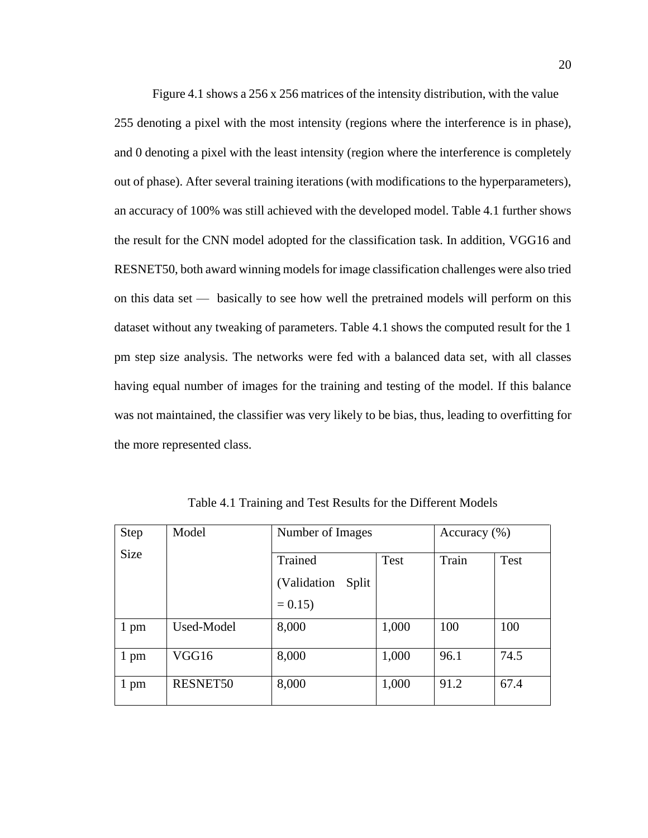Figure 4.1 shows a 256 x 256 matrices of the intensity distribution, with the value 255 denoting a pixel with the most intensity (regions where the interference is in phase), and 0 denoting a pixel with the least intensity (region where the interference is completely out of phase). After several training iterations (with modifications to the hyperparameters), an accuracy of 100% was still achieved with the developed model. Table 4.1 further shows the result for the CNN model adopted for the classification task. In addition, VGG16 and RESNET50, both award winning models for image classification challenges were also tried on this data set — basically to see how well the pretrained models will perform on this dataset without any tweaking of parameters. Table 4.1 shows the computed result for the 1 pm step size analysis. The networks were fed with a balanced data set, with all classes having equal number of images for the training and testing of the model. If this balance was not maintained, the classifier was very likely to be bias, thus, leading to overfitting for the more represented class.

| <b>Step</b> | Model           | Number of Images      |       | Accuracy $(\% )$ |             |
|-------------|-----------------|-----------------------|-------|------------------|-------------|
| <b>Size</b> |                 | Trained               | Test  | Train            | <b>Test</b> |
|             |                 | (Validation)<br>Split |       |                  |             |
|             |                 | $= 0.15$              |       |                  |             |
| 1 pm        | Used-Model      | 8,000                 | 1,000 | 100              | 100         |
| 1 pm        | VGG16           | 8,000                 | 1,000 | 96.1             | 74.5        |
| 1 pm        | <b>RESNET50</b> | 8,000                 | 1,000 | 91.2             | 67.4        |

Table 4.1 Training and Test Results for the Different Models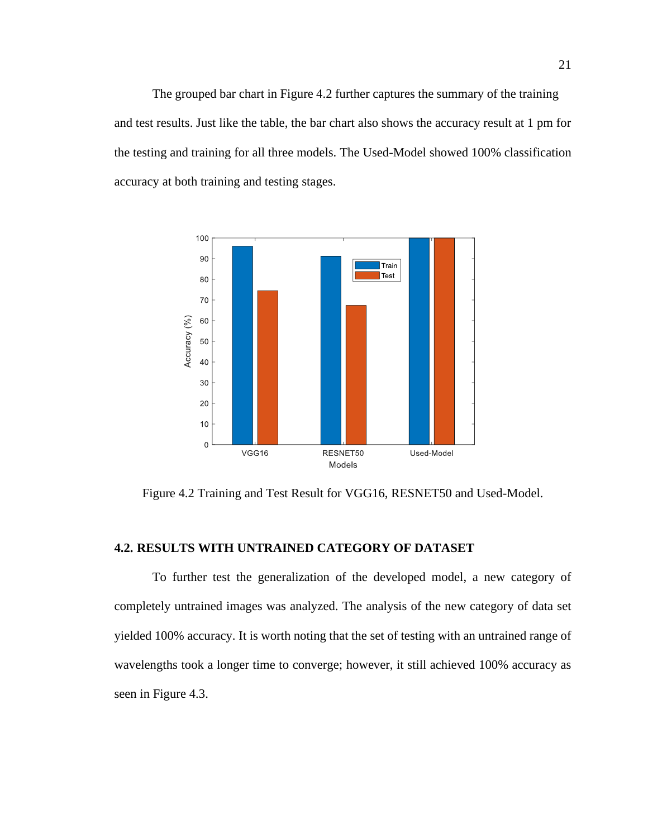The grouped bar chart in Figure 4.2 further captures the summary of the training and test results. Just like the table, the bar chart also shows the accuracy result at 1 pm for the testing and training for all three models. The Used-Model showed 100% classification accuracy at both training and testing stages.



Figure 4.2 Training and Test Result for VGG16, RESNET50 and Used-Model.

### **4.2. RESULTS WITH UNTRAINED CATEGORY OF DATASET**

To further test the generalization of the developed model, a new category of completely untrained images was analyzed. The analysis of the new category of data set yielded 100% accuracy. It is worth noting that the set of testing with an untrained range of wavelengths took a longer time to converge; however, it still achieved 100% accuracy as seen in Figure 4.3.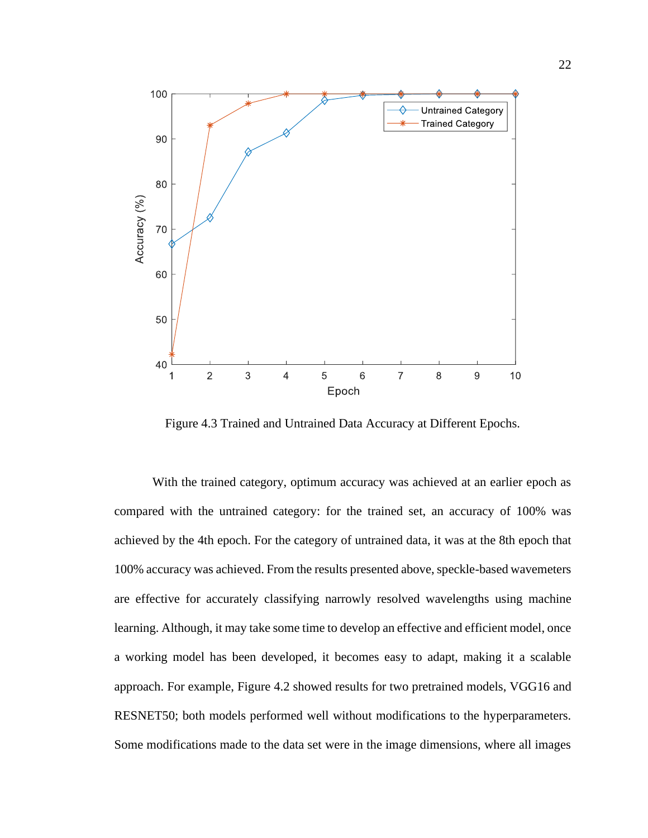

Figure 4.3 Trained and Untrained Data Accuracy at Different Epochs.

With the trained category, optimum accuracy was achieved at an earlier epoch as compared with the untrained category: for the trained set, an accuracy of 100% was achieved by the 4th epoch. For the category of untrained data, it was at the 8th epoch that 100% accuracy was achieved. From the results presented above, speckle-based wavemeters are effective for accurately classifying narrowly resolved wavelengths using machine learning. Although, it may take some time to develop an effective and efficient model, once a working model has been developed, it becomes easy to adapt, making it a scalable approach. For example, Figure 4.2 showed results for two pretrained models, VGG16 and RESNET50; both models performed well without modifications to the hyperparameters. Some modifications made to the data set were in the image dimensions, where all images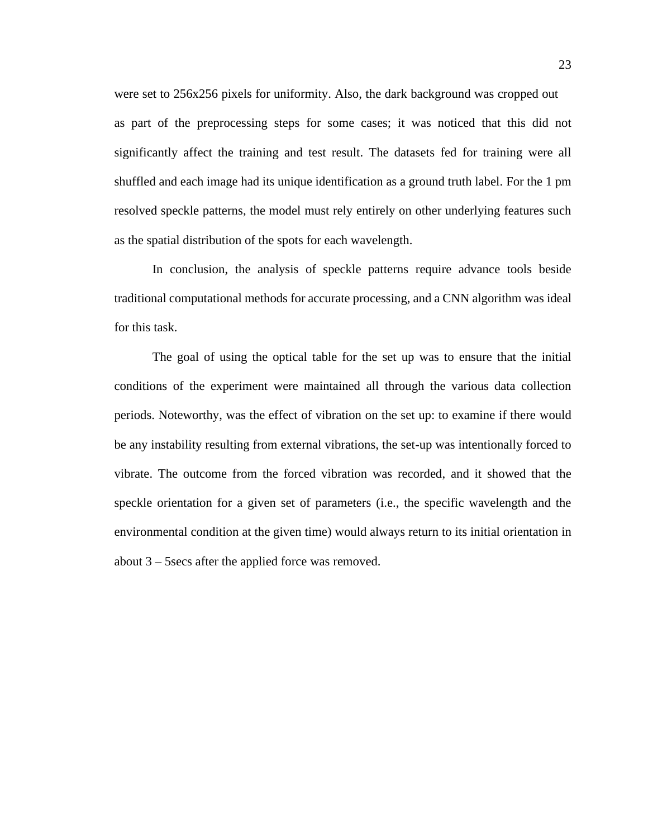were set to 256x256 pixels for uniformity. Also, the dark background was cropped out as part of the preprocessing steps for some cases; it was noticed that this did not significantly affect the training and test result. The datasets fed for training were all shuffled and each image had its unique identification as a ground truth label. For the 1 pm resolved speckle patterns, the model must rely entirely on other underlying features such as the spatial distribution of the spots for each wavelength.

In conclusion, the analysis of speckle patterns require advance tools beside traditional computational methods for accurate processing, and a CNN algorithm was ideal for this task.

The goal of using the optical table for the set up was to ensure that the initial conditions of the experiment were maintained all through the various data collection periods. Noteworthy, was the effect of vibration on the set up: to examine if there would be any instability resulting from external vibrations, the set-up was intentionally forced to vibrate. The outcome from the forced vibration was recorded, and it showed that the speckle orientation for a given set of parameters (i.e., the specific wavelength and the environmental condition at the given time) would always return to its initial orientation in about 3 – 5secs after the applied force was removed.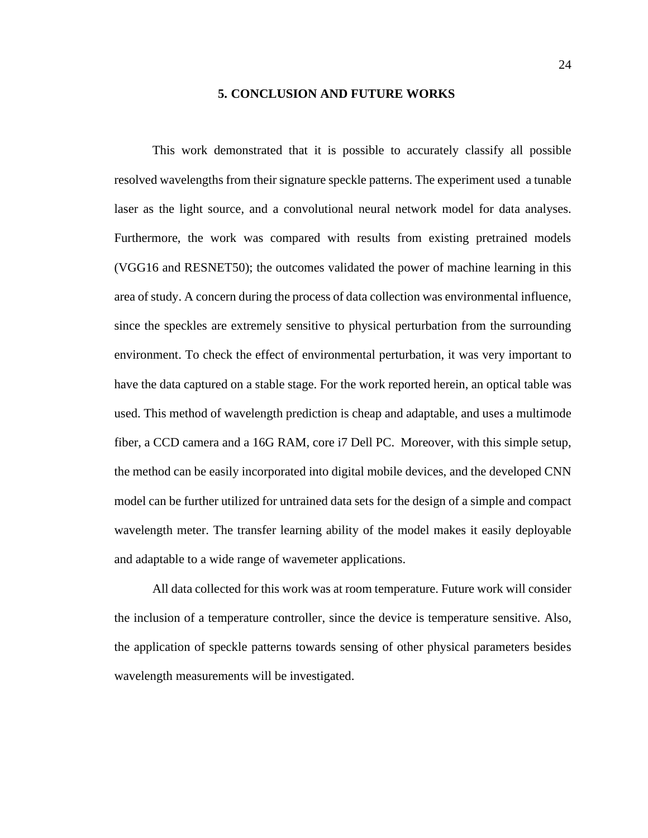#### **5. CONCLUSION AND FUTURE WORKS**

This work demonstrated that it is possible to accurately classify all possible resolved wavelengths from their signature speckle patterns. The experiment used a tunable laser as the light source, and a convolutional neural network model for data analyses. Furthermore, the work was compared with results from existing pretrained models (VGG16 and RESNET50); the outcomes validated the power of machine learning in this area of study. A concern during the process of data collection was environmental influence, since the speckles are extremely sensitive to physical perturbation from the surrounding environment. To check the effect of environmental perturbation, it was very important to have the data captured on a stable stage. For the work reported herein, an optical table was used. This method of wavelength prediction is cheap and adaptable, and uses a multimode fiber, a CCD camera and a 16G RAM, core i7 Dell PC. Moreover, with this simple setup, the method can be easily incorporated into digital mobile devices, and the developed CNN model can be further utilized for untrained data sets for the design of a simple and compact wavelength meter. The transfer learning ability of the model makes it easily deployable and adaptable to a wide range of wavemeter applications.

All data collected for this work was at room temperature. Future work will consider the inclusion of a temperature controller, since the device is temperature sensitive. Also, the application of speckle patterns towards sensing of other physical parameters besides wavelength measurements will be investigated.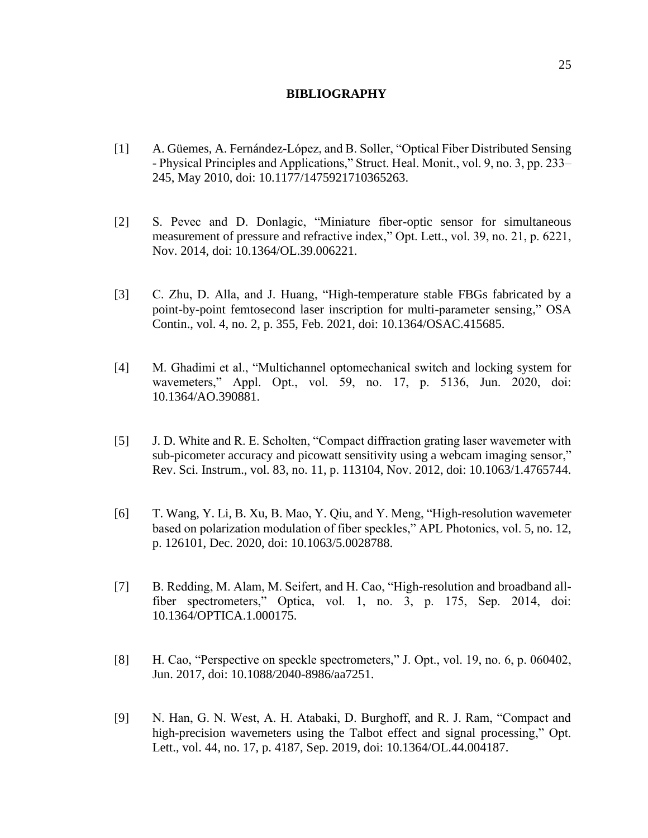#### **BIBLIOGRAPHY**

- [1] A. Güemes, A. Fernández-López, and B. Soller, "Optical Fiber Distributed Sensing - Physical Principles and Applications," Struct. Heal. Monit., vol. 9, no. 3, pp. 233– 245, May 2010, doi: 10.1177/1475921710365263.
- [2] S. Pevec and D. Donlagic, "Miniature fiber-optic sensor for simultaneous measurement of pressure and refractive index," Opt. Lett., vol. 39, no. 21, p. 6221, Nov. 2014, doi: 10.1364/OL.39.006221.
- [3] C. Zhu, D. Alla, and J. Huang, "High-temperature stable FBGs fabricated by a point-by-point femtosecond laser inscription for multi-parameter sensing," OSA Contin., vol. 4, no. 2, p. 355, Feb. 2021, doi: 10.1364/OSAC.415685.
- [4] M. Ghadimi et al., "Multichannel optomechanical switch and locking system for wavemeters," Appl. Opt., vol. 59, no. 17, p. 5136, Jun. 2020, doi: 10.1364/AO.390881.
- [5] J. D. White and R. E. Scholten, "Compact diffraction grating laser wavemeter with sub-picometer accuracy and picowatt sensitivity using a webcam imaging sensor," Rev. Sci. Instrum., vol. 83, no. 11, p. 113104, Nov. 2012, doi: 10.1063/1.4765744.
- [6] T. Wang, Y. Li, B. Xu, B. Mao, Y. Qiu, and Y. Meng, "High-resolution wavemeter based on polarization modulation of fiber speckles," APL Photonics, vol. 5, no. 12, p. 126101, Dec. 2020, doi: 10.1063/5.0028788.
- [7] B. Redding, M. Alam, M. Seifert, and H. Cao, "High-resolution and broadband allfiber spectrometers," Optica, vol. 1, no. 3, p. 175, Sep. 2014, doi: 10.1364/OPTICA.1.000175.
- [8] H. Cao, "Perspective on speckle spectrometers," J. Opt., vol. 19, no. 6, p. 060402, Jun. 2017, doi: 10.1088/2040-8986/aa7251.
- [9] N. Han, G. N. West, A. H. Atabaki, D. Burghoff, and R. J. Ram, "Compact and high-precision wavemeters using the Talbot effect and signal processing," Opt. Lett., vol. 44, no. 17, p. 4187, Sep. 2019, doi: 10.1364/OL.44.004187.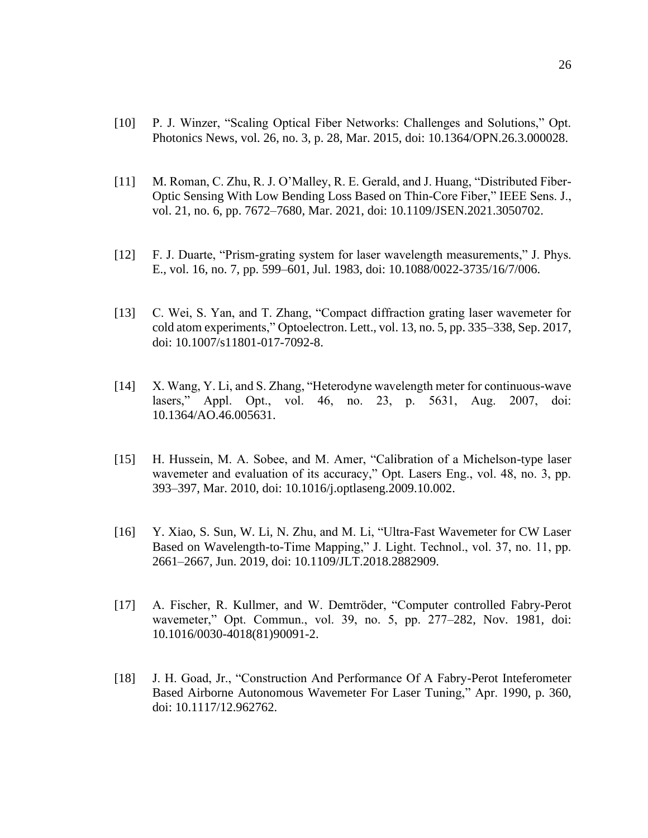- [10] P. J. Winzer, "Scaling Optical Fiber Networks: Challenges and Solutions," Opt. Photonics News, vol. 26, no. 3, p. 28, Mar. 2015, doi: 10.1364/OPN.26.3.000028.
- [11] M. Roman, C. Zhu, R. J. O'Malley, R. E. Gerald, and J. Huang, "Distributed Fiber-Optic Sensing With Low Bending Loss Based on Thin-Core Fiber," IEEE Sens. J., vol. 21, no. 6, pp. 7672–7680, Mar. 2021, doi: 10.1109/JSEN.2021.3050702.
- [12] F. J. Duarte, "Prism-grating system for laser wavelength measurements," J. Phys. E., vol. 16, no. 7, pp. 599–601, Jul. 1983, doi: 10.1088/0022-3735/16/7/006.
- [13] C. Wei, S. Yan, and T. Zhang, "Compact diffraction grating laser wavemeter for cold atom experiments," Optoelectron. Lett., vol. 13, no. 5, pp. 335–338, Sep. 2017, doi: 10.1007/s11801-017-7092-8.
- [14] X. Wang, Y. Li, and S. Zhang, "Heterodyne wavelength meter for continuous-wave lasers," Appl. Opt., vol. 46, no. 23, p. 5631, Aug. 2007, doi: 10.1364/AO.46.005631.
- [15] H. Hussein, M. A. Sobee, and M. Amer, "Calibration of a Michelson-type laser wavemeter and evaluation of its accuracy," Opt. Lasers Eng., vol. 48, no. 3, pp. 393–397, Mar. 2010, doi: 10.1016/j.optlaseng.2009.10.002.
- [16] Y. Xiao, S. Sun, W. Li, N. Zhu, and M. Li, "Ultra-Fast Wavemeter for CW Laser Based on Wavelength-to-Time Mapping," J. Light. Technol., vol. 37, no. 11, pp. 2661–2667, Jun. 2019, doi: 10.1109/JLT.2018.2882909.
- [17] A. Fischer, R. Kullmer, and W. Demtröder, "Computer controlled Fabry-Perot wavemeter," Opt. Commun., vol. 39, no. 5, pp. 277–282, Nov. 1981, doi: 10.1016/0030-4018(81)90091-2.
- [18] J. H. Goad, Jr., "Construction And Performance Of A Fabry-Perot Inteferometer Based Airborne Autonomous Wavemeter For Laser Tuning," Apr. 1990, p. 360, doi: 10.1117/12.962762.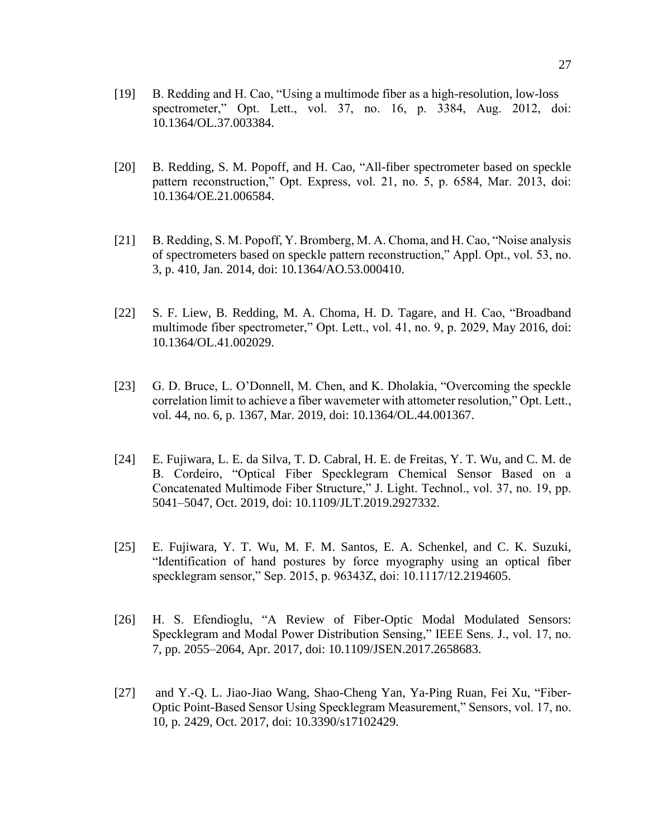- [19] B. Redding and H. Cao, "Using a multimode fiber as a high-resolution, low-loss spectrometer," Opt. Lett., vol. 37, no. 16, p. 3384, Aug. 2012, doi: 10.1364/OL.37.003384.
- [20] B. Redding, S. M. Popoff, and H. Cao, "All-fiber spectrometer based on speckle pattern reconstruction," Opt. Express, vol. 21, no. 5, p. 6584, Mar. 2013, doi: 10.1364/OE.21.006584.
- [21] B. Redding, S. M. Popoff, Y. Bromberg, M. A. Choma, and H. Cao, "Noise analysis of spectrometers based on speckle pattern reconstruction," Appl. Opt., vol. 53, no. 3, p. 410, Jan. 2014, doi: 10.1364/AO.53.000410.
- [22] S. F. Liew, B. Redding, M. A. Choma, H. D. Tagare, and H. Cao, "Broadband multimode fiber spectrometer," Opt. Lett., vol. 41, no. 9, p. 2029, May 2016, doi: 10.1364/OL.41.002029.
- [23] G. D. Bruce, L. O'Donnell, M. Chen, and K. Dholakia, "Overcoming the speckle correlation limit to achieve a fiber wavemeter with attometer resolution," Opt. Lett., vol. 44, no. 6, p. 1367, Mar. 2019, doi: 10.1364/OL.44.001367.
- [24] E. Fujiwara, L. E. da Silva, T. D. Cabral, H. E. de Freitas, Y. T. Wu, and C. M. de B. Cordeiro, "Optical Fiber Specklegram Chemical Sensor Based on a Concatenated Multimode Fiber Structure," J. Light. Technol., vol. 37, no. 19, pp. 5041–5047, Oct. 2019, doi: 10.1109/JLT.2019.2927332.
- [25] E. Fujiwara, Y. T. Wu, M. F. M. Santos, E. A. Schenkel, and C. K. Suzuki, "Identification of hand postures by force myography using an optical fiber specklegram sensor," Sep. 2015, p. 96343Z, doi: 10.1117/12.2194605.
- [26] H. S. Efendioglu, "A Review of Fiber-Optic Modal Modulated Sensors: Specklegram and Modal Power Distribution Sensing," IEEE Sens. J., vol. 17, no. 7, pp. 2055–2064, Apr. 2017, doi: 10.1109/JSEN.2017.2658683.
- [27] and Y.-Q. L. Jiao-Jiao Wang, Shao-Cheng Yan, Ya-Ping Ruan, Fei Xu, "Fiber-Optic Point-Based Sensor Using Specklegram Measurement," Sensors, vol. 17, no. 10, p. 2429, Oct. 2017, doi: 10.3390/s17102429.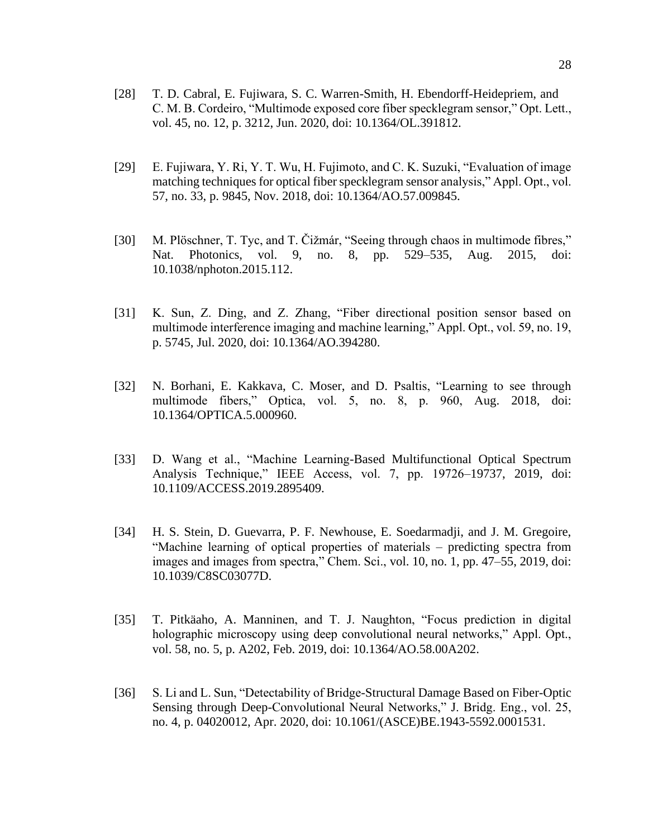- [28] T. D. Cabral, E. Fujiwara, S. C. Warren-Smith, H. Ebendorff-Heidepriem, and C. M. B. Cordeiro, "Multimode exposed core fiber specklegram sensor," Opt. Lett., vol. 45, no. 12, p. 3212, Jun. 2020, doi: 10.1364/OL.391812.
- [29] E. Fujiwara, Y. Ri, Y. T. Wu, H. Fujimoto, and C. K. Suzuki, "Evaluation of image matching techniques for optical fiber specklegram sensor analysis," Appl. Opt., vol. 57, no. 33, p. 9845, Nov. 2018, doi: 10.1364/AO.57.009845.
- [30] M. Plöschner, T. Tyc, and T. Čižmár, "Seeing through chaos in multimode fibres," Nat. Photonics, vol. 9, no. 8, pp. 529–535, Aug. 2015, doi: 10.1038/nphoton.2015.112.
- [31] K. Sun, Z. Ding, and Z. Zhang, "Fiber directional position sensor based on multimode interference imaging and machine learning," Appl. Opt., vol. 59, no. 19, p. 5745, Jul. 2020, doi: 10.1364/AO.394280.
- [32] N. Borhani, E. Kakkava, C. Moser, and D. Psaltis, "Learning to see through multimode fibers," Optica, vol. 5, no. 8, p. 960, Aug. 2018, doi: 10.1364/OPTICA.5.000960.
- [33] D. Wang et al., "Machine Learning-Based Multifunctional Optical Spectrum Analysis Technique," IEEE Access, vol. 7, pp. 19726–19737, 2019, doi: 10.1109/ACCESS.2019.2895409.
- [34] H. S. Stein, D. Guevarra, P. F. Newhouse, E. Soedarmadji, and J. M. Gregoire, "Machine learning of optical properties of materials – predicting spectra from images and images from spectra," Chem. Sci., vol. 10, no. 1, pp. 47–55, 2019, doi: 10.1039/C8SC03077D.
- [35] T. Pitkäaho, A. Manninen, and T. J. Naughton, "Focus prediction in digital holographic microscopy using deep convolutional neural networks," Appl. Opt., vol. 58, no. 5, p. A202, Feb. 2019, doi: 10.1364/AO.58.00A202.
- [36] S. Li and L. Sun, "Detectability of Bridge-Structural Damage Based on Fiber-Optic Sensing through Deep-Convolutional Neural Networks," J. Bridg. Eng., vol. 25, no. 4, p. 04020012, Apr. 2020, doi: 10.1061/(ASCE)BE.1943-5592.0001531.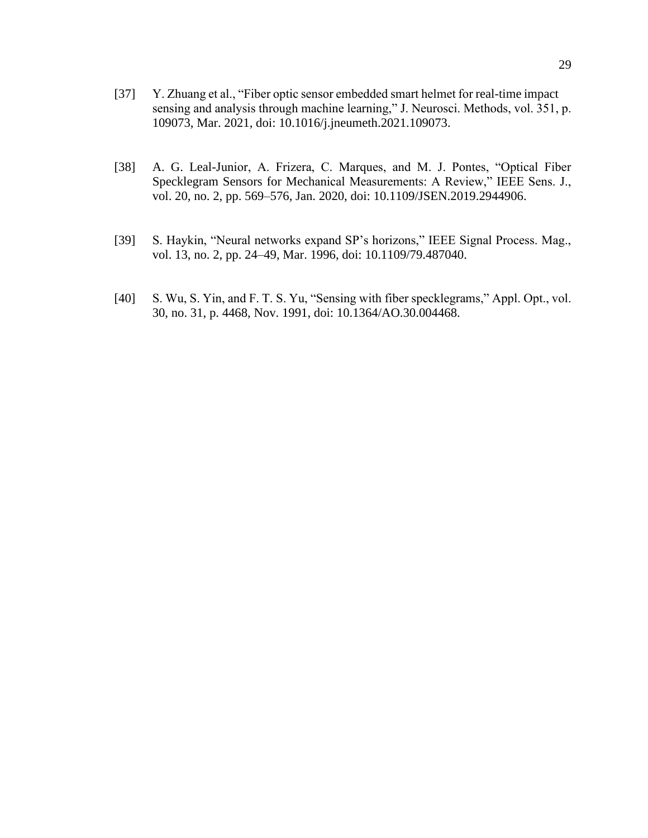- [37] Y. Zhuang et al., "Fiber optic sensor embedded smart helmet for real-time impact sensing and analysis through machine learning," J. Neurosci. Methods, vol. 351, p. 109073, Mar. 2021, doi: 10.1016/j.jneumeth.2021.109073.
- [38] A. G. Leal-Junior, A. Frizera, C. Marques, and M. J. Pontes, "Optical Fiber Specklegram Sensors for Mechanical Measurements: A Review," IEEE Sens. J., vol. 20, no. 2, pp. 569–576, Jan. 2020, doi: 10.1109/JSEN.2019.2944906.
- [39] S. Haykin, "Neural networks expand SP's horizons," IEEE Signal Process. Mag., vol. 13, no. 2, pp. 24–49, Mar. 1996, doi: 10.1109/79.487040.
- [40] S. Wu, S. Yin, and F. T. S. Yu, "Sensing with fiber specklegrams," Appl. Opt., vol. 30, no. 31, p. 4468, Nov. 1991, doi: 10.1364/AO.30.004468.